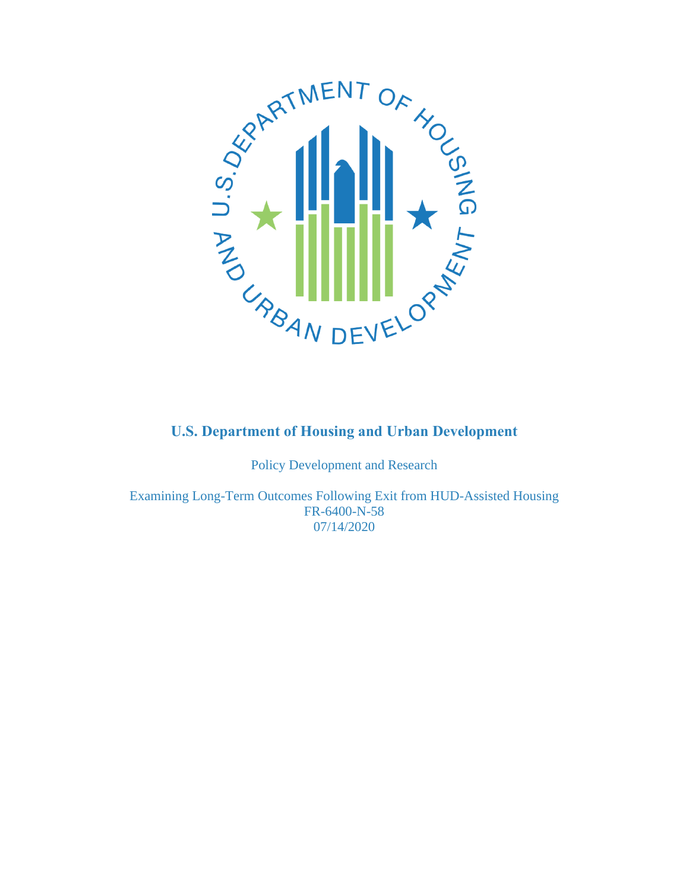

Policy Development and Research

Examining Long-Term Outcomes Following Exit from HUD-Assisted Housing FR-6400-N-58 07/14/2020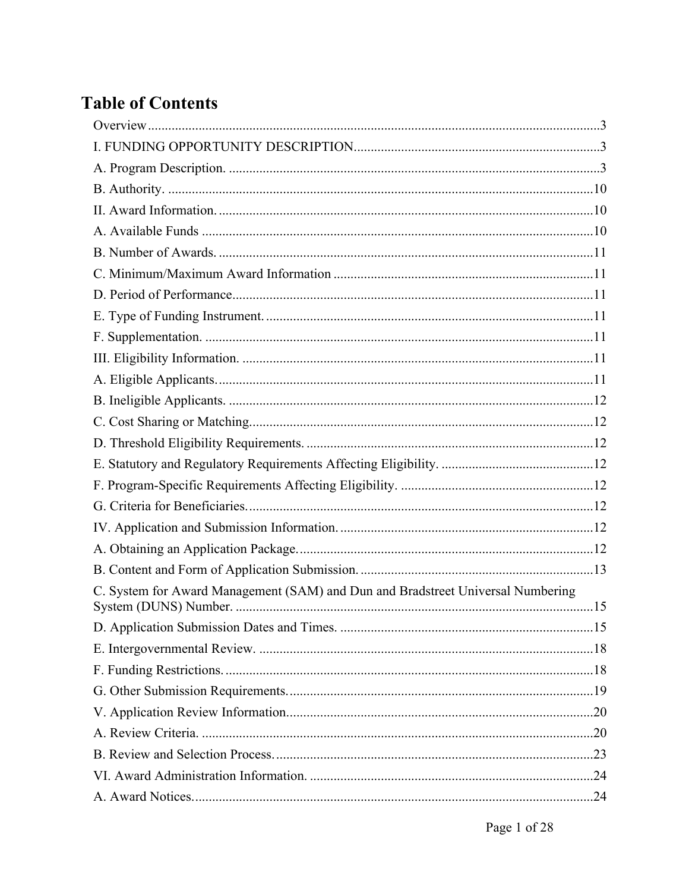# **Table of Contents**

| C. System for Award Management (SAM) and Dun and Bradstreet Universal Numbering |
|---------------------------------------------------------------------------------|
|                                                                                 |
|                                                                                 |
|                                                                                 |
|                                                                                 |
|                                                                                 |
|                                                                                 |
|                                                                                 |
|                                                                                 |
|                                                                                 |
|                                                                                 |
|                                                                                 |
|                                                                                 |
|                                                                                 |
|                                                                                 |
|                                                                                 |
|                                                                                 |
|                                                                                 |
|                                                                                 |
|                                                                                 |
|                                                                                 |
|                                                                                 |
|                                                                                 |
|                                                                                 |
|                                                                                 |
|                                                                                 |
|                                                                                 |
|                                                                                 |
|                                                                                 |
|                                                                                 |
|                                                                                 |
|                                                                                 |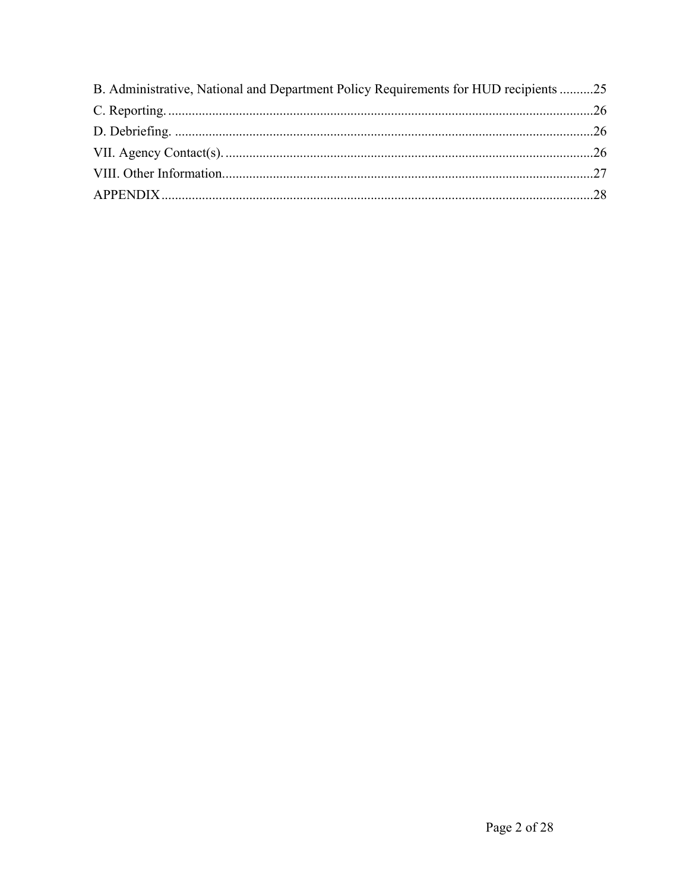| B. Administrative, National and Department Policy Requirements for HUD recipients 25 |  |
|--------------------------------------------------------------------------------------|--|
|                                                                                      |  |
|                                                                                      |  |
|                                                                                      |  |
|                                                                                      |  |
|                                                                                      |  |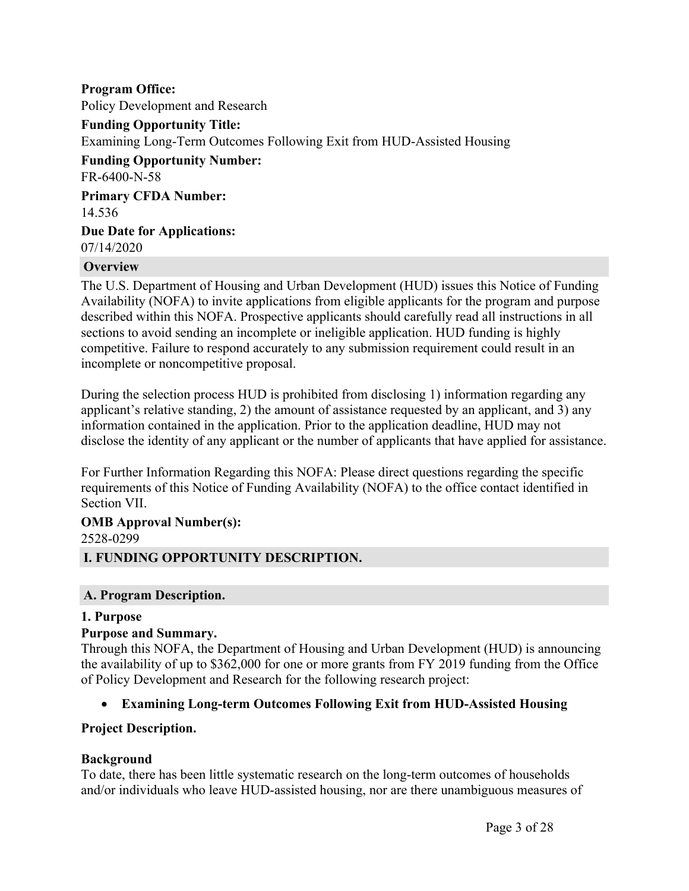**Program Office:** Policy Development and Research **Funding Opportunity Title:** Examining Long-Term Outcomes Following Exit from HUD-Assisted Housing **Funding Opportunity Number:** FR-6400-N-58 **Primary CFDA Number:** 14.536 **Due Date for Applications:** 07/14/2020

#### <span id="page-3-0"></span>**Overview**

The U.S. Department of Housing and Urban Development (HUD) issues this Notice of Funding Availability (NOFA) to invite applications from eligible applicants for the program and purpose described within this NOFA. Prospective applicants should carefully read all instructions in all sections to avoid sending an incomplete or ineligible application. HUD funding is highly competitive. Failure to respond accurately to any submission requirement could result in an incomplete or noncompetitive proposal.

During the selection process HUD is prohibited from disclosing 1) information regarding any applicant's relative standing, 2) the amount of assistance requested by an applicant, and 3) any information contained in the application. Prior to the application deadline, HUD may not disclose the identity of any applicant or the number of applicants that have applied for assistance.

For Further Information Regarding this NOFA: Please direct questions regarding the specific requirements of this Notice of Funding Availability (NOFA) to the office contact identified in Section VII.

# **OMB Approval Number(s):** 2528-0299

# <span id="page-3-1"></span>**I. FUNDING OPPORTUNITY DESCRIPTION.**

#### <span id="page-3-2"></span>**A. Program Description.**

#### **1. Purpose**

#### **Purpose and Summary.**

Through this NOFA, the Department of Housing and Urban Development (HUD) is announcing the availability of up to \$362,000 for one or more grants from FY 2019 funding from the Office of Policy Development and Research for the following research project:

## **Examining Long-term Outcomes Following Exit from HUD-Assisted Housing**

#### **Project Description.**

#### **Background**

To date, there has been little systematic research on the long-term outcomes of households and/or individuals who leave HUD-assisted housing, nor are there unambiguous measures of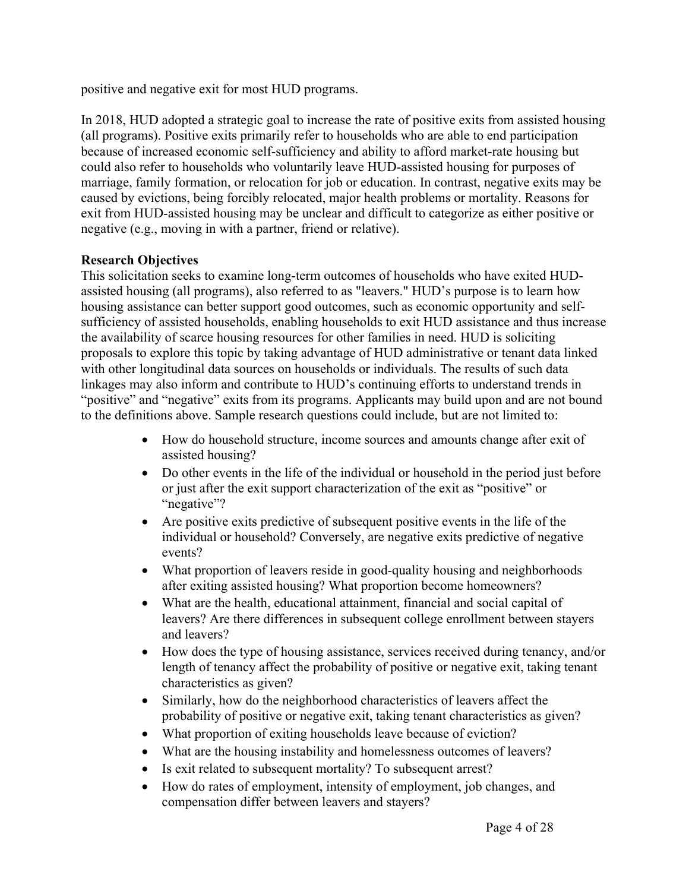positive and negative exit for most HUD programs.

In 2018, HUD adopted a strategic goal to increase the rate of positive exits from assisted housing (all programs). Positive exits primarily refer to households who are able to end participation because of increased economic self-sufficiency and ability to afford market-rate housing but could also refer to households who voluntarily leave HUD-assisted housing for purposes of marriage, family formation, or relocation for job or education. In contrast, negative exits may be caused by evictions, being forcibly relocated, major health problems or mortality. Reasons for exit from HUD-assisted housing may be unclear and difficult to categorize as either positive or negative (e.g., moving in with a partner, friend or relative).

#### **Research Objectives**

This solicitation seeks to examine long-term outcomes of households who have exited HUDassisted housing (all programs), also referred to as "leavers." HUD's purpose is to learn how housing assistance can better support good outcomes, such as economic opportunity and selfsufficiency of assisted households, enabling households to exit HUD assistance and thus increase the availability of scarce housing resources for other families in need. HUD is soliciting proposals to explore this topic by taking advantage of HUD administrative or tenant data linked with other longitudinal data sources on households or individuals. The results of such data linkages may also inform and contribute to HUD's continuing efforts to understand trends in "positive" and "negative" exits from its programs. Applicants may build upon and are not bound to the definitions above. Sample research questions could include, but are not limited to:

- How do household structure, income sources and amounts change after exit of assisted housing?
- Do other events in the life of the individual or household in the period just before or just after the exit support characterization of the exit as "positive" or "negative"?
- Are positive exits predictive of subsequent positive events in the life of the individual or household? Conversely, are negative exits predictive of negative events?
- What proportion of leavers reside in good-quality housing and neighborhoods after exiting assisted housing? What proportion become homeowners?
- What are the health, educational attainment, financial and social capital of leavers? Are there differences in subsequent college enrollment between stayers and leavers?
- How does the type of housing assistance, services received during tenancy, and/or length of tenancy affect the probability of positive or negative exit, taking tenant characteristics as given?
- Similarly, how do the neighborhood characteristics of leavers affect the probability of positive or negative exit, taking tenant characteristics as given?
- What proportion of exiting households leave because of eviction?
- What are the housing instability and homelessness outcomes of leavers?
- Is exit related to subsequent mortality? To subsequent arrest?
- How do rates of employment, intensity of employment, job changes, and compensation differ between leavers and stayers?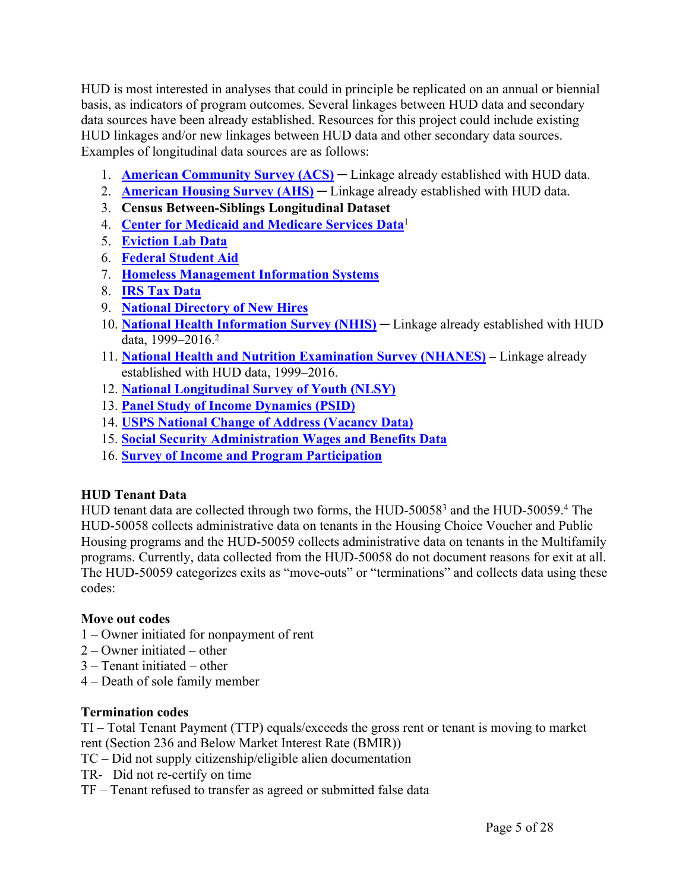HUD is most interested in analyses that could in principle be replicated on an annual or biennial basis, as indicators of program outcomes. Several linkages between HUD data and secondary data sources have been already established. Resources for this project could include existing HUD linkages and/or new linkages between HUD data and other secondary data sources. Examples of longitudinal data sources are as follows:

- 1. **American [Community](https://www.census.gov/programs-surveys/acs) Survey (ACS) ─** Linkage already established with HUD data.
- 2. **[American](https://www.census.gov/programs-surveys/ahs.html) Housing Survey (AHS) ─** Linkage already established with HUD data.
- 3. **Census Between-Siblings Longitudinal Dataset**
- 4. **Center for Medicaid and [Medicare](https://www.cms.gov/newsroom/data) Services Data**<sup>1</sup>
- 5. **[Eviction](https://evictionlab.org/) Lab Data**
- 6. **Federal [Student](https://studentaid.ed.gov/sa/data-center) Aid**
- 7. **Homeless [Management](https://www.hudexchange.info/programs/hmis/) Information Systems**
- 8. **IRS Tax [Data](https://www.irs.gov/statistics)**
- 9. **National [Directory](https://www.acf.hhs.gov/css/resource/overview-of-national-directory-of-new-hires) of New Hires**
- 10. **National Health [Information](https://www.cdc.gov/nchs/data-linkage/hud-methods.htm) Survey (NHIS) ─** Linkage already established with HUD data, 1999–2016.<sup>2</sup>
- 11. **National Health and Nutrition [Examination](https://www.cdc.gov/nchs/data-linkage/hud-methods.htm) Survey (NHANES) –** Linkage already established with HUD data, 1999–2016.
- 12. **National [Longitudinal](https://www.bls.gov/nls/home.htm) Survey of Youth (NLSY)**
- 13. **Panel Study of Income [Dynamics](https://psidonline.isr.umich.edu/) (PSID)**
- 14. **USPS National Change of Address [\(Vacancy](https://www.uspsoig.gov/document/national-change-address-program) Data)**
- 15. **Social Security [Administration](https://www.ssa.gov/data/) Wages and Benefits Data**
- 16. **Survey of Income and Program [Participation](https://www.census.gov/sipp/)**

## **HUD Tenant Data**

HUD tenant data are collected through two forms, the HUD-50058<sup>3</sup> and the HUD-50059.<sup>4</sup> The HUD-50058 collects administrative data on tenants in the Housing Choice Voucher and Public Housing programs and the HUD-50059 collects administrative data on tenants in the Multifamily programs. Currently, data collected from the HUD-50058 do not document reasons for exit at all. The HUD-50059 categorizes exits as "move-outs" or "terminations" and collects data using these codes:

## **Move out codes**

- 1 Owner initiated for nonpayment of rent
- 2 Owner initiated other
- 3 Tenant initiated other
- 4 Death of sole family member

## **Termination codes**

TI – Total Tenant Payment (TTP) equals/exceeds the gross rent or tenant is moving to market rent (Section 236 and Below Market Interest Rate (BMIR))

- TC Did not supply citizenship/eligible alien documentation
- TR- Did not re-certify on time
- TF Tenant refused to transfer as agreed or submitted false data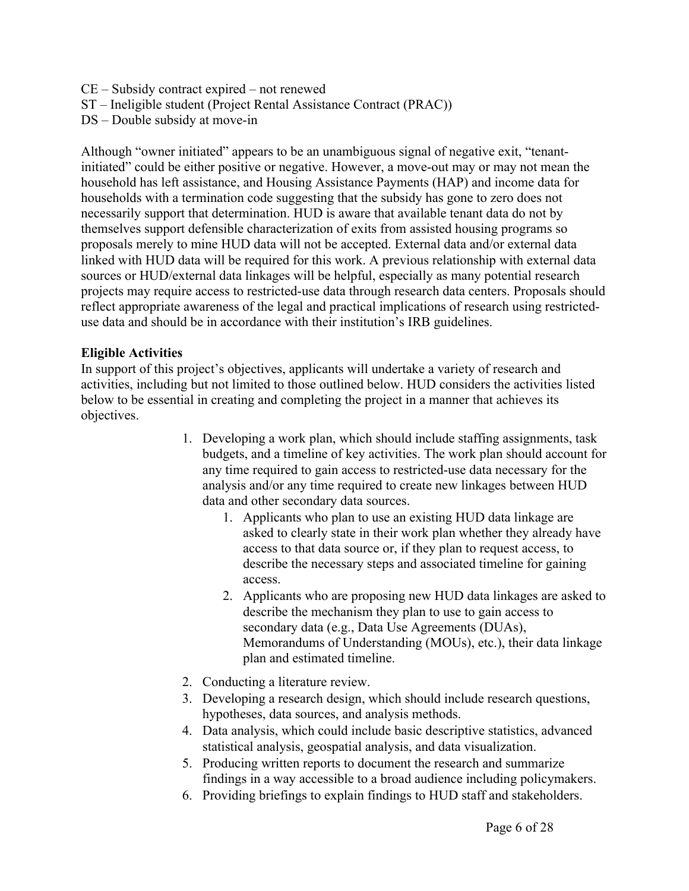- CE Subsidy contract expired not renewed
- ST Ineligible student (Project Rental Assistance Contract (PRAC))
- DS Double subsidy at move-in

Although "owner initiated" appears to be an unambiguous signal of negative exit, "tenantinitiated" could be either positive or negative. However, a move-out may or may not mean the household has left assistance, and Housing Assistance Payments (HAP) and income data for households with a termination code suggesting that the subsidy has gone to zero does not necessarily support that determination. HUD is aware that available tenant data do not by themselves support defensible characterization of exits from assisted housing programs so proposals merely to mine HUD data will not be accepted. External data and/or external data linked with HUD data will be required for this work. A previous relationship with external data sources or HUD/external data linkages will be helpful, especially as many potential research projects may require access to restricted-use data through research data centers. Proposals should reflect appropriate awareness of the legal and practical implications of research using restricteduse data and should be in accordance with their institution's IRB guidelines.

#### **Eligible Activities**

In support of this project's objectives, applicants will undertake a variety of research and activities, including but not limited to those outlined below. HUD considers the activities listed below to be essential in creating and completing the project in a manner that achieves its objectives.

- 1. Developing a work plan, which should include staffing assignments, task budgets, and a timeline of key activities. The work plan should account for any time required to gain access to restricted-use data necessary for the analysis and/or any time required to create new linkages between HUD data and other secondary data sources.
	- 1. Applicants who plan to use an existing HUD data linkage are asked to clearly state in their work plan whether they already have access to that data source or, if they plan to request access, to describe the necessary steps and associated timeline for gaining access.
	- 2. Applicants who are proposing new HUD data linkages are asked to describe the mechanism they plan to use to gain access to secondary data (e.g., Data Use Agreements (DUAs), Memorandums of Understanding (MOUs), etc.), their data linkage plan and estimated timeline.
- 2. Conducting a literature review.
- 3. Developing a research design, which should include research questions, hypotheses, data sources, and analysis methods.
- 4. Data analysis, which could include basic descriptive statistics, advanced statistical analysis, geospatial analysis, and data visualization.
- 5. Producing written reports to document the research and summarize findings in a way accessible to a broad audience including policymakers.
- 6. Providing briefings to explain findings to HUD staff and stakeholders.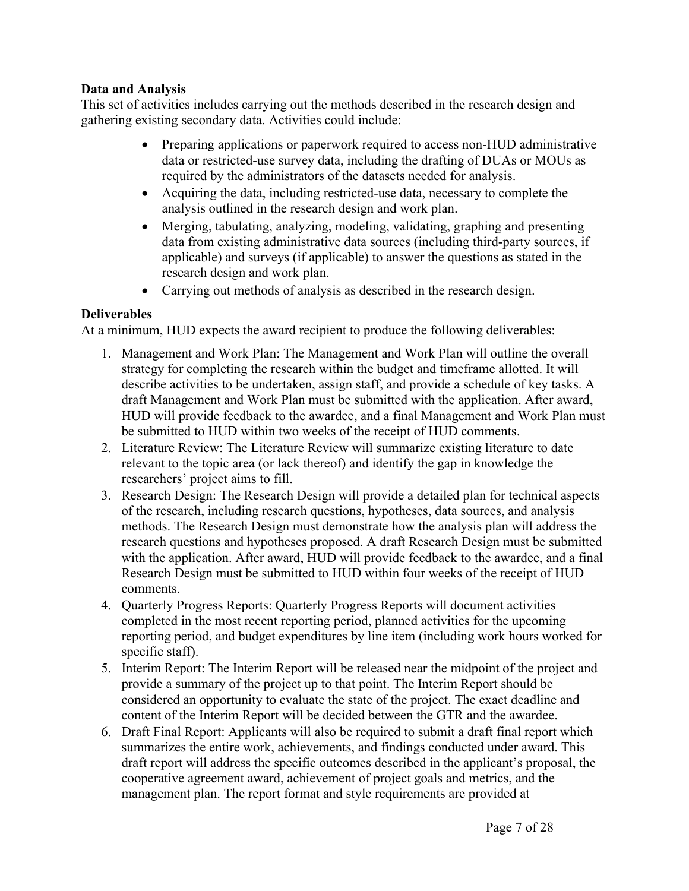#### **Data and Analysis**

This set of activities includes carrying out the methods described in the research design and gathering existing secondary data. Activities could include:

- Preparing applications or paperwork required to access non-HUD administrative data or restricted-use survey data, including the drafting of DUAs or MOUs as required by the administrators of the datasets needed for analysis.
- Acquiring the data, including restricted-use data, necessary to complete the analysis outlined in the research design and work plan.
- Merging, tabulating, analyzing, modeling, validating, graphing and presenting data from existing administrative data sources (including third-party sources, if applicable) and surveys (if applicable) to answer the questions as stated in the research design and work plan.
- Carrying out methods of analysis as described in the research design.

#### **Deliverables**

At a minimum, HUD expects the award recipient to produce the following deliverables:

- 1. Management and Work Plan: The Management and Work Plan will outline the overall strategy for completing the research within the budget and timeframe allotted. It will describe activities to be undertaken, assign staff, and provide a schedule of key tasks. A draft Management and Work Plan must be submitted with the application. After award, HUD will provide feedback to the awardee, and a final Management and Work Plan must be submitted to HUD within two weeks of the receipt of HUD comments.
- 2. Literature Review: The Literature Review will summarize existing literature to date relevant to the topic area (or lack thereof) and identify the gap in knowledge the researchers' project aims to fill.
- 3. Research Design: The Research Design will provide a detailed plan for technical aspects of the research, including research questions, hypotheses, data sources, and analysis methods. The Research Design must demonstrate how the analysis plan will address the research questions and hypotheses proposed. A draft Research Design must be submitted with the application. After award, HUD will provide feedback to the awardee, and a final Research Design must be submitted to HUD within four weeks of the receipt of HUD comments.
- 4. Quarterly Progress Reports: Quarterly Progress Reports will document activities completed in the most recent reporting period, planned activities for the upcoming reporting period, and budget expenditures by line item (including work hours worked for specific staff).
- 5. Interim Report: The Interim Report will be released near the midpoint of the project and provide a summary of the project up to that point. The Interim Report should be considered an opportunity to evaluate the state of the project. The exact deadline and content of the Interim Report will be decided between the GTR and the awardee.
- 6. Draft Final Report: Applicants will also be required to submit a draft final report which summarizes the entire work, achievements, and findings conducted under award. This draft report will address the specific outcomes described in the applicant's proposal, the cooperative agreement award, achievement of project goals and metrics, and the management plan. The report format and style requirements are provided at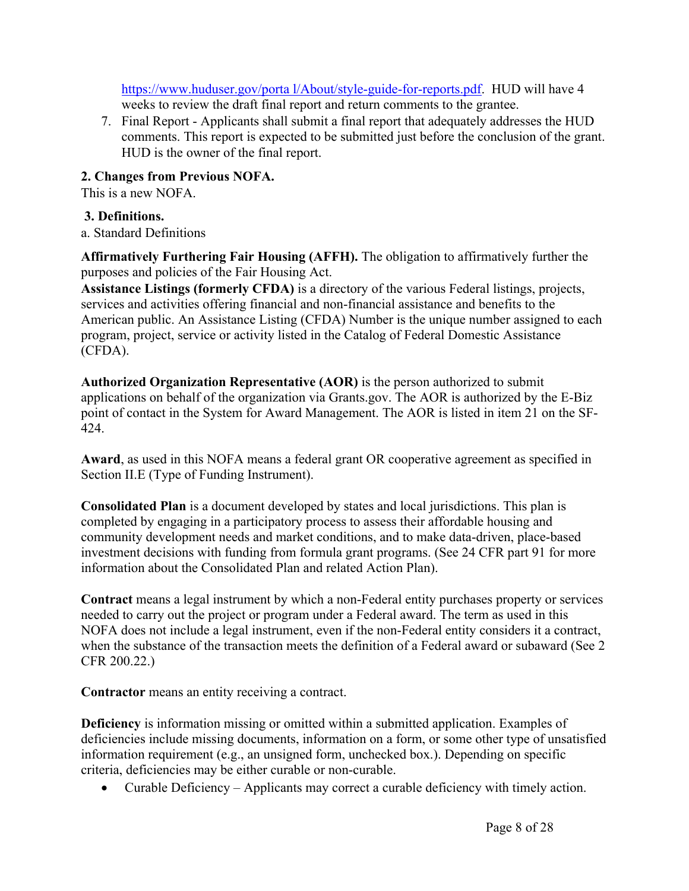https://www.huduser.gov/porta [l/About/style-guide-for-reports.pdf.](https://www.huduser.gov/portal/About/style-guide-for-reports.pdf) HUD will have 4 weeks to review the draft final report and return comments to the grantee.

7. Final Report - Applicants shall submit a final report that adequately addresses the HUD comments. This report is expected to be submitted just before the conclusion of the grant. HUD is the owner of the final report.

#### **2. Changes from Previous NOFA.**

This is a new NOFA.

#### **3. Definitions.**

a. Standard Definitions

**Affirmatively Furthering Fair Housing (AFFH).** The obligation to affirmatively further the purposes and policies of the Fair Housing Act.

**Assistance Listings (formerly CFDA)** is a directory of the various Federal listings, projects, services and activities offering financial and non-financial assistance and benefits to the American public. An Assistance Listing (CFDA) Number is the unique number assigned to each program, project, service or activity listed in the Catalog of Federal Domestic Assistance (CFDA).

**Authorized Organization Representative (AOR)** is the person authorized to submit applications on behalf of the organization via Grants.gov. The AOR is authorized by the E-Biz point of contact in the System for Award Management. The AOR is listed in item 21 on the SF-424.

**Award**, as used in this NOFA means a federal grant OR cooperative agreement as specified in Section II.E (Type of Funding Instrument).

**Consolidated Plan** is a document developed by states and local jurisdictions. This plan is completed by engaging in a participatory process to assess their affordable housing and community development needs and market conditions, and to make data-driven, place-based investment decisions with funding from formula grant programs. (See 24 CFR part 91 for more information about the Consolidated Plan and related Action Plan).

**Contract** means a legal instrument by which a non-Federal entity purchases property or services needed to carry out the project or program under a Federal award. The term as used in this NOFA does not include a legal instrument, even if the non-Federal entity considers it a contract, when the substance of the transaction meets the definition of a Federal award or subaward (See 2) CFR 200.22.)

**Contractor** means an entity receiving a contract.

**Deficiency** is information missing or omitted within a submitted application. Examples of deficiencies include missing documents, information on a form, or some other type of unsatisfied information requirement (e.g., an unsigned form, unchecked box.). Depending on specific criteria, deficiencies may be either curable or non-curable.

Curable Deficiency – Applicants may correct a curable deficiency with timely action.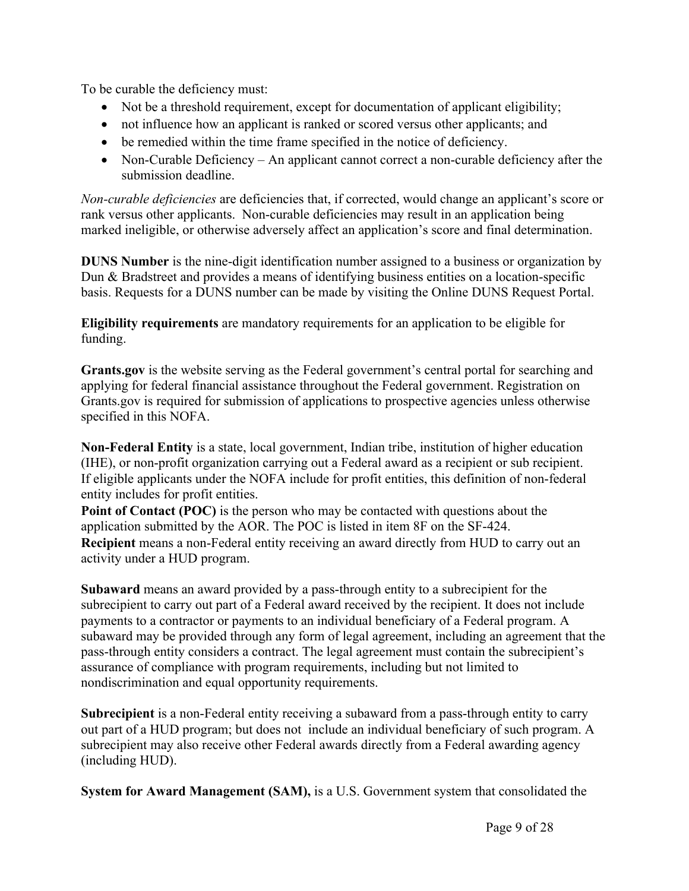To be curable the deficiency must:

- Not be a threshold requirement, except for documentation of applicant eligibility;
- not influence how an applicant is ranked or scored versus other applicants; and
- be remedied within the time frame specified in the notice of deficiency.
- Non-Curable Deficiency An applicant cannot correct a non-curable deficiency after the submission deadline.

*Non-curable deficiencies* are deficiencies that, if corrected, would change an applicant's score or rank versus other applicants. Non-curable deficiencies may result in an application being marked ineligible, or otherwise adversely affect an application's score and final determination.

**DUNS Number** is the nine-digit identification number assigned to a business or organization by Dun & Bradstreet and provides a means of identifying business entities on a location-specific basis. Requests for a DUNS number can be made by visiting the Online DUNS Request Portal.

**Eligibility requirements** are mandatory requirements for an application to be eligible for funding.

**Grants.gov** is the website serving as the Federal government's central portal for searching and applying for federal financial assistance throughout the Federal government. Registration on Grants.gov is required for submission of applications to prospective agencies unless otherwise specified in this NOFA.

**Non-Federal Entity** is a state, local government, Indian tribe, institution of higher education (IHE), or non-profit organization carrying out a Federal award as a recipient or sub recipient. If eligible applicants under the NOFA include for profit entities, this definition of non-federal entity includes for profit entities.

**Point of Contact (POC)** is the person who may be contacted with questions about the application submitted by the AOR. The POC is listed in item 8F on the SF-424. **Recipient** means a non-Federal entity receiving an award directly from HUD to carry out an activity under a HUD program.

**Subaward** means an award provided by a pass-through entity to a subrecipient for the subrecipient to carry out part of a Federal award received by the recipient. It does not include payments to a contractor or payments to an individual beneficiary of a Federal program. A subaward may be provided through any form of legal agreement, including an agreement that the pass-through entity considers a contract. The legal agreement must contain the subrecipient's assurance of compliance with program requirements, including but not limited to nondiscrimination and equal opportunity requirements.

**Subrecipient** is a non-Federal entity receiving a subaward from a pass-through entity to carry out part of a HUD program; but does not include an individual beneficiary of such program. A subrecipient may also receive other Federal awards directly from a Federal awarding agency (including HUD).

**System for Award Management (SAM),** is a U.S. Government system that consolidated the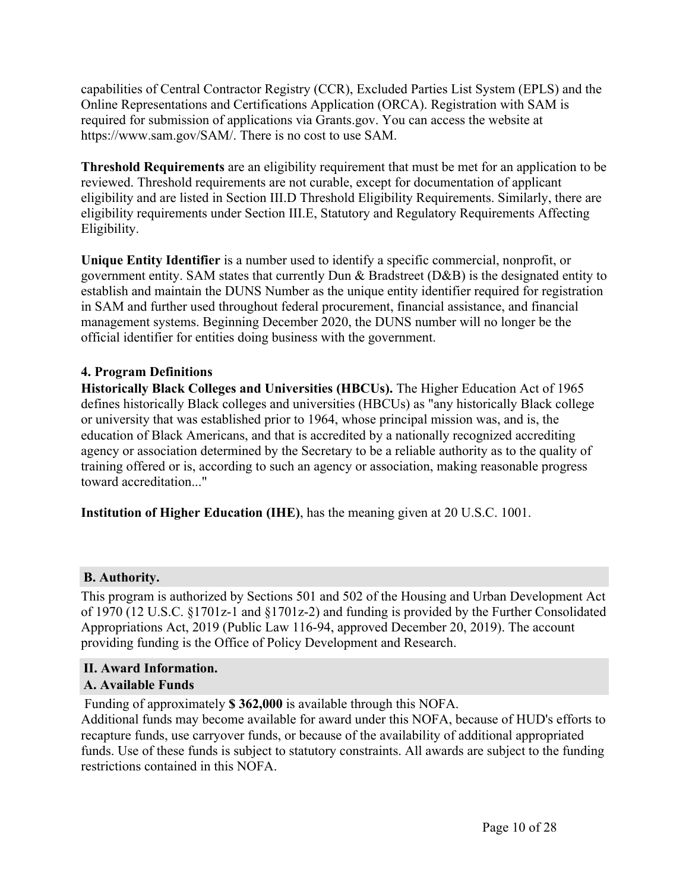capabilities of Central Contractor Registry (CCR), Excluded Parties List System (EPLS) and the Online Representations and Certifications Application (ORCA). Registration with SAM is required for submission of applications via Grants.gov. You can access the website at https://www.sam.gov/SAM/. There is no cost to use SAM.

**Threshold Requirements** are an eligibility requirement that must be met for an application to be reviewed. Threshold requirements are not curable, except for documentation of applicant eligibility and are listed in Section III.D Threshold Eligibility Requirements. Similarly, there are eligibility requirements under Section III.E, Statutory and Regulatory Requirements Affecting Eligibility.

**Unique Entity Identifier** is a number used to identify a specific commercial, nonprofit, or government entity. SAM states that currently Dun & Bradstreet (D&B) is the designated entity to establish and maintain the DUNS Number as the unique entity identifier required for registration in SAM and further used throughout federal procurement, financial assistance, and financial management systems. Beginning December 2020, the DUNS number will no longer be the official identifier for entities doing business with the government.

#### **4. Program Definitions**

**Historically Black Colleges and Universities (HBCUs).** The Higher Education Act of 1965 defines historically Black colleges and universities (HBCUs) as "any historically Black college or university that was established prior to 1964, whose principal mission was, and is, the education of Black Americans, and that is accredited by a nationally recognized accrediting agency or association determined by the Secretary to be a reliable authority as to the quality of training offered or is, according to such an agency or association, making reasonable progress toward accreditation..."

**Institution of Higher Education (IHE)**, has the meaning given at 20 U.S.C. 1001.

## <span id="page-10-0"></span>**B. Authority.**

This program is authorized by Sections 501 and 502 of the Housing and Urban Development Act of 1970 (12 U.S.C. §1701z-1 and §1701z-2) and funding is provided by the Further Consolidated Appropriations Act, 2019 (Public Law 116-94, approved December 20, 2019). The account providing funding is the Office of Policy Development and Research.

#### <span id="page-10-2"></span><span id="page-10-1"></span>**II. Award Information. A. Available Funds**

Funding of approximately **\$ 362,000** is available through this NOFA.

Additional funds may become available for award under this NOFA, because of HUD's efforts to recapture funds, use carryover funds, or because of the availability of additional appropriated funds. Use of these funds is subject to statutory constraints. All awards are subject to the funding restrictions contained in this NOFA.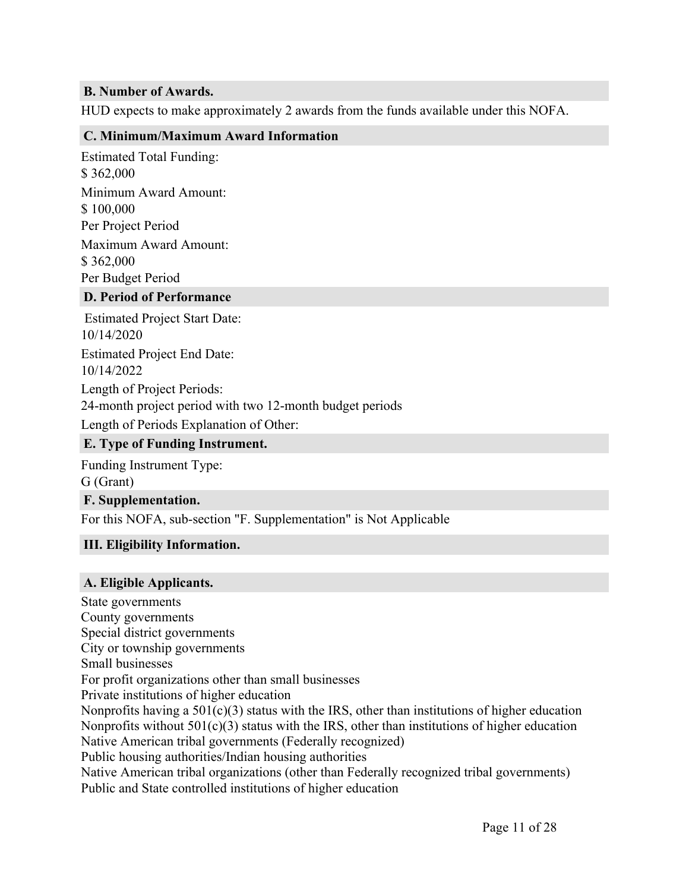#### <span id="page-11-0"></span>**B. Number of Awards.**

HUD expects to make approximately 2 awards from the funds available under this NOFA.

#### <span id="page-11-1"></span>**C. Minimum/Maximum Award Information**

Estimated Total Funding: \$ 362,000 Minimum Award Amount: \$ 100,000 Per Project Period Maximum Award Amount: \$ 362,000 Per Budget Period

#### <span id="page-11-2"></span>**D. Period of Performance**

Estimated Project Start Date: 10/14/2020 Estimated Project End Date: 10/14/2022 Length of Project Periods: 24-month project period with two 12-month budget periods Length of Periods Explanation of Other:

#### <span id="page-11-3"></span>**E. Type of Funding Instrument.**

Funding Instrument Type:

G (Grant)

#### <span id="page-11-4"></span>**F. Supplementation.**

For this NOFA, sub-section "F. Supplementation" is Not Applicable

#### <span id="page-11-5"></span>**III. Eligibility Information.**

#### <span id="page-11-6"></span>**A. Eligible Applicants.**

State governments County governments Special district governments City or township governments Small businesses For profit organizations other than small businesses Private institutions of higher education Nonprofits having a  $501(c)(3)$  status with the IRS, other than institutions of higher education Nonprofits without  $501(c)(3)$  status with the IRS, other than institutions of higher education Native American tribal governments (Federally recognized) Public housing authorities/Indian housing authorities Native American tribal organizations (other than Federally recognized tribal governments) Public and State controlled institutions of higher education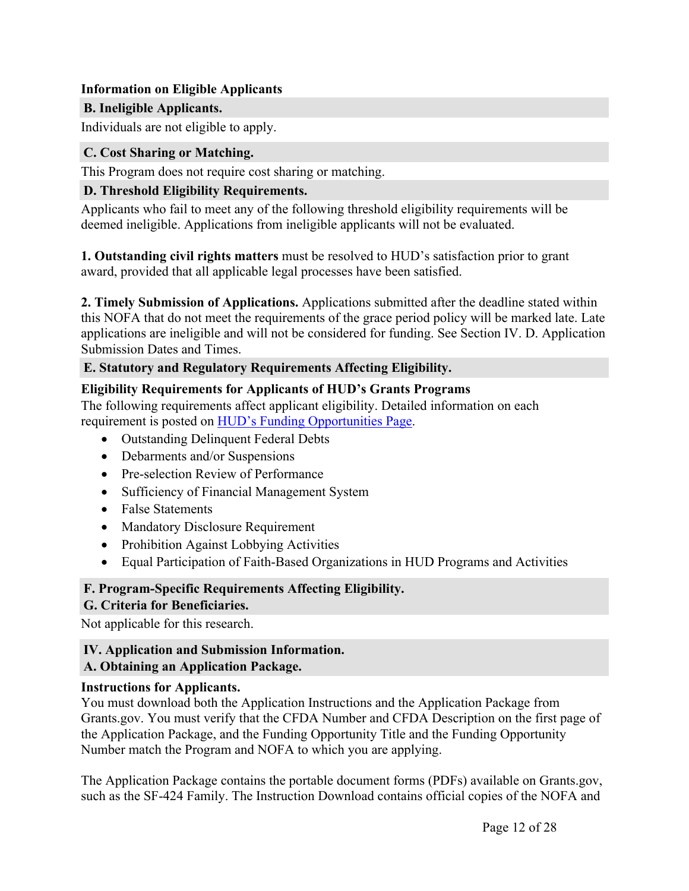#### **Information on Eligible Applicants**

## <span id="page-12-0"></span>**B. Ineligible Applicants.**

Individuals are not eligible to apply.

## <span id="page-12-1"></span>**C. Cost Sharing or Matching.**

This Program does not require cost sharing or matching.

## <span id="page-12-2"></span>**D. Threshold Eligibility Requirements.**

Applicants who fail to meet any of the following threshold eligibility requirements will be deemed ineligible. Applications from ineligible applicants will not be evaluated.

**1. Outstanding civil rights matters** must be resolved to HUD's satisfaction prior to grant award, provided that all applicable legal processes have been satisfied.

**2. Timely Submission of Applications.** Applications submitted after the deadline stated within this NOFA that do not meet the requirements of the grace period policy will be marked late. Late applications are ineligible and will not be considered for funding. See Section IV. D. Application Submission Dates and Times.

## <span id="page-12-3"></span>**E. Statutory and Regulatory Requirements Affecting Eligibility.**

## **Eligibility Requirements for Applicants of HUD's Grants Programs**

The following requirements affect applicant eligibility. Detailed information on each requirement is posted on HUD's Funding [Opportunities](https://www.hud.gov/program_offices/spm/gmomgmt/grantsinfo/fundingopps) Page.

- Outstanding Delinquent Federal Debts
- Debarments and/or Suspensions
- Pre-selection Review of Performance
- Sufficiency of Financial Management System
- False Statements
- Mandatory Disclosure Requirement
- Prohibition Against Lobbying Activities
- Equal Participation of Faith-Based Organizations in HUD Programs and Activities

## <span id="page-12-4"></span>**F. Program-Specific Requirements Affecting Eligibility.**

## <span id="page-12-5"></span>**G. Criteria for Beneficiaries.**

Not applicable for this research.

## <span id="page-12-6"></span>**IV. Application and Submission Information.**

## <span id="page-12-7"></span>**A. Obtaining an Application Package.**

## **Instructions for Applicants.**

You must download both the Application Instructions and the Application Package from Grants.gov. You must verify that the CFDA Number and CFDA Description on the first page of the Application Package, and the Funding Opportunity Title and the Funding Opportunity Number match the Program and NOFA to which you are applying.

The Application Package contains the portable document forms (PDFs) available on Grants.gov, such as the SF-424 Family. The Instruction Download contains official copies of the NOFA and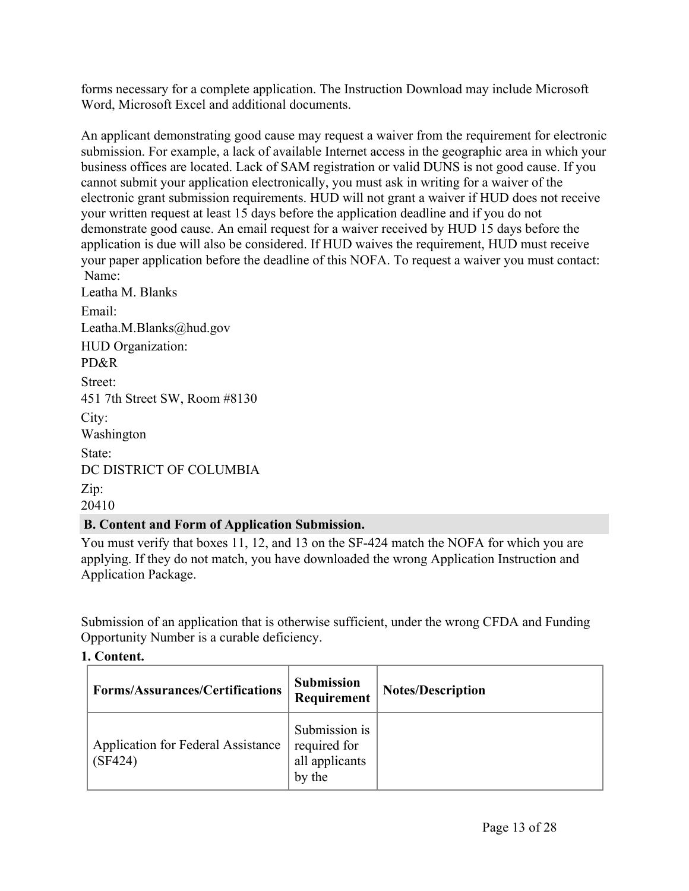forms necessary for a complete application. The Instruction Download may include Microsoft Word, Microsoft Excel and additional documents.

An applicant demonstrating good cause may request a waiver from the requirement for electronic submission. For example, a lack of available Internet access in the geographic area in which your business offices are located. Lack of SAM registration or valid DUNS is not good cause. If you cannot submit your application electronically, you must ask in writing for a waiver of the electronic grant submission requirements. HUD will not grant a waiver if HUD does not receive your written request at least 15 days before the application deadline and if you do not demonstrate good cause. An email request for a waiver received by HUD 15 days before the application is due will also be considered. If HUD waives the requirement, HUD must receive your paper application before the deadline of this NOFA. To request a waiver you must contact: Name: Leatha M. Blanks Email: Leatha.M.Blanks@hud.gov HUD Organization: PD&R Street: 451 7th Street SW, Room #8130 City: Washington State: DC DISTRICT OF COLUMBIA Zip: 20410

## <span id="page-13-0"></span>**B. Content and Form of Application Submission.**

You must verify that boxes 11, 12, and 13 on the SF-424 match the NOFA for which you are applying. If they do not match, you have downloaded the wrong Application Instruction and Application Package.

Submission of an application that is otherwise sufficient, under the wrong CFDA and Funding Opportunity Number is a curable deficiency.

## **1. Content.**

| <b>Forms/Assurances/Certifications</b>        | <b>Submission</b><br>Requirement                          | <b>Notes/Description</b> |
|-----------------------------------------------|-----------------------------------------------------------|--------------------------|
| Application for Federal Assistance<br>(SF424) | Submission is<br>required for<br>all applicants<br>by the |                          |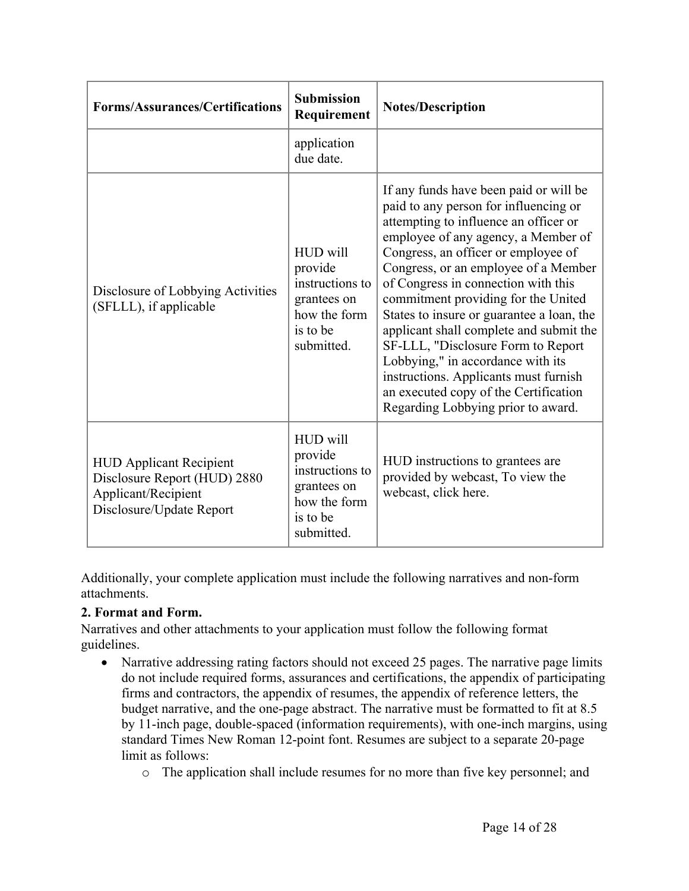| <b>Forms/Assurances/Certifications</b>                                                                            | <b>Submission</b><br>Requirement                                                                | <b>Notes/Description</b>                                                                                                                                                                                                                                                                                                                                                                                                                                                                                                                                                                                                |
|-------------------------------------------------------------------------------------------------------------------|-------------------------------------------------------------------------------------------------|-------------------------------------------------------------------------------------------------------------------------------------------------------------------------------------------------------------------------------------------------------------------------------------------------------------------------------------------------------------------------------------------------------------------------------------------------------------------------------------------------------------------------------------------------------------------------------------------------------------------------|
|                                                                                                                   | application<br>due date.                                                                        |                                                                                                                                                                                                                                                                                                                                                                                                                                                                                                                                                                                                                         |
| Disclosure of Lobbying Activities<br>(SFLLL), if applicable                                                       | HUD will<br>provide<br>instructions to<br>grantees on<br>how the form<br>is to be<br>submitted. | If any funds have been paid or will be<br>paid to any person for influencing or<br>attempting to influence an officer or<br>employee of any agency, a Member of<br>Congress, an officer or employee of<br>Congress, or an employee of a Member<br>of Congress in connection with this<br>commitment providing for the United<br>States to insure or guarantee a loan, the<br>applicant shall complete and submit the<br>SF-LLL, "Disclosure Form to Report<br>Lobbying," in accordance with its<br>instructions. Applicants must furnish<br>an executed copy of the Certification<br>Regarding Lobbying prior to award. |
| <b>HUD Applicant Recipient</b><br>Disclosure Report (HUD) 2880<br>Applicant/Recipient<br>Disclosure/Update Report | HUD will<br>provide<br>instructions to<br>grantees on<br>how the form<br>is to be<br>submitted. | HUD instructions to grantees are<br>provided by webcast, To view the<br>webcast, click here.                                                                                                                                                                                                                                                                                                                                                                                                                                                                                                                            |

Additionally, your complete application must include the following narratives and non-form attachments.

## **2. Format and Form.**

Narratives and other attachments to your application must follow the following format guidelines.

- Narrative addressing rating factors should not exceed 25 pages. The narrative page limits do not include required forms, assurances and certifications, the appendix of participating firms and contractors, the appendix of resumes, the appendix of reference letters, the budget narrative, and the one-page abstract. The narrative must be formatted to fit at 8.5 by 11-inch page, double-spaced (information requirements), with one-inch margins, using standard Times New Roman 12-point font. Resumes are subject to a separate 20-page limit as follows:
	- o The application shall include resumes for no more than five key personnel; and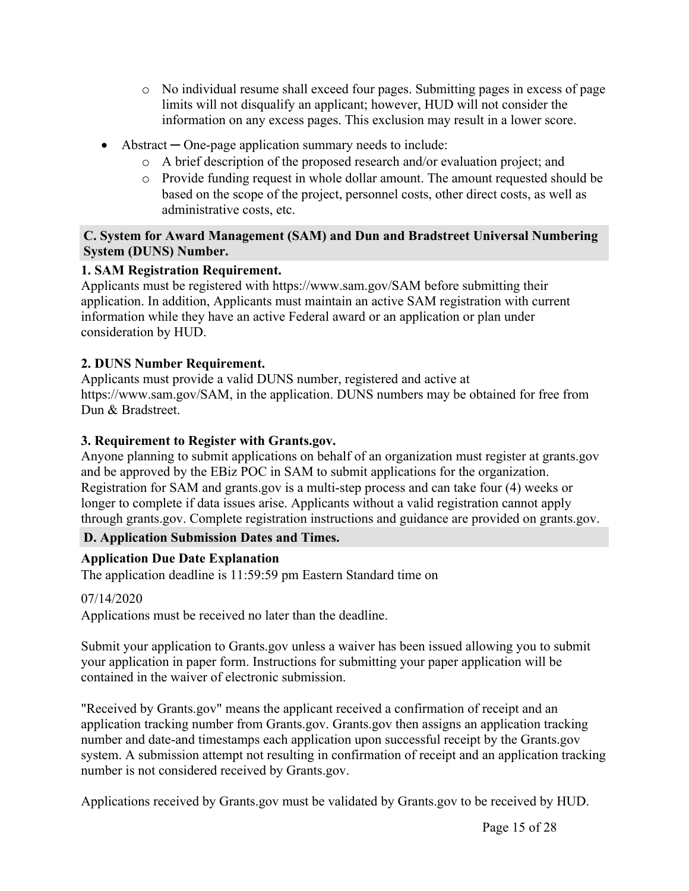- o No individual resume shall exceed four pages. Submitting pages in excess of page limits will not disqualify an applicant; however, HUD will not consider the information on any excess pages. This exclusion may result in a lower score.
- Abstract **─** One-page application summary needs to include:
	- o A brief description of the proposed research and/or evaluation project; and
	- o Provide funding request in whole dollar amount. The amount requested should be based on the scope of the project, personnel costs, other direct costs, as well as administrative costs, etc.

#### <span id="page-15-0"></span>**C. System for Award Management (SAM) and Dun and Bradstreet Universal Numbering System (DUNS) Number.**

## **1. SAM Registration Requirement.**

Applicants must be registered with https://www.sam.gov/SAM before submitting their application. In addition, Applicants must maintain an active SAM registration with current information while they have an active Federal award or an application or plan under consideration by HUD.

## **2. DUNS Number Requirement.**

Applicants must provide a valid DUNS number, registered and active at https://www.sam.gov/SAM, in the application. DUNS numbers may be obtained for free from Dun & Bradstreet.

## **3. Requirement to Register with Grants.gov.**

Anyone planning to submit applications on behalf of an organization must register at grants.gov and be approved by the EBiz POC in SAM to submit applications for the organization. Registration for SAM and grants.gov is a multi-step process and can take four (4) weeks or longer to complete if data issues arise. Applicants without a valid registration cannot apply through grants.gov. Complete registration instructions and guidance are provided on grants.gov.

## <span id="page-15-1"></span>**D. Application Submission Dates and Times.**

## **Application Due Date Explanation**

The application deadline is 11:59:59 pm Eastern Standard time on

## 07/14/2020

Applications must be received no later than the deadline.

Submit your application to Grants.gov unless a waiver has been issued allowing you to submit your application in paper form. Instructions for submitting your paper application will be contained in the waiver of electronic submission.

"Received by Grants.gov" means the applicant received a confirmation of receipt and an application tracking number from Grants.gov. Grants.gov then assigns an application tracking number and date-and timestamps each application upon successful receipt by the Grants.gov system. A submission attempt not resulting in confirmation of receipt and an application tracking number is not considered received by Grants.gov.

Applications received by Grants.gov must be validated by Grants.gov to be received by HUD.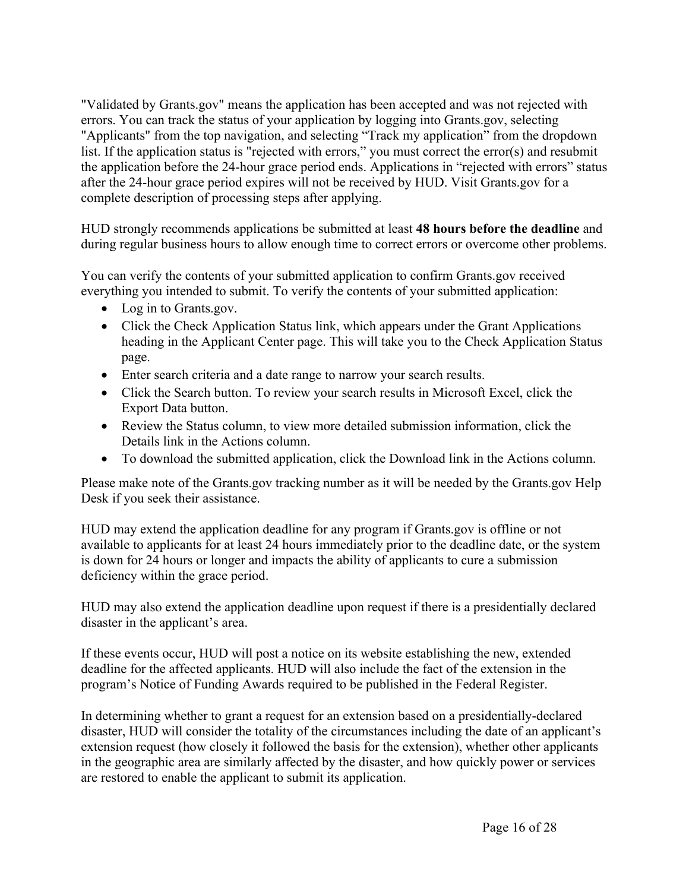"Validated by Grants.gov" means the application has been accepted and was not rejected with errors. You can track the status of your application by logging into Grants.gov, selecting "Applicants" from the top navigation, and selecting "Track my application" from the dropdown list. If the application status is "rejected with errors," you must correct the error(s) and resubmit the application before the 24-hour grace period ends. Applications in "rejected with errors" status after the 24-hour grace period expires will not be received by HUD. Visit Grants.gov for a complete description of processing steps after applying.

HUD strongly recommends applications be submitted at least **48 hours before the deadline** and during regular business hours to allow enough time to correct errors or overcome other problems.

You can verify the contents of your submitted application to confirm Grants.gov received everything you intended to submit. To verify the contents of your submitted application:

- Log in to Grants.gov.
- Click the Check Application Status link, which appears under the Grant Applications heading in the Applicant Center page. This will take you to the Check Application Status page.
- Enter search criteria and a date range to narrow your search results.
- Click the Search button. To review your search results in Microsoft Excel, click the Export Data button.
- Review the Status column, to view more detailed submission information, click the Details link in the Actions column.
- To download the submitted application, click the Download link in the Actions column.

Please make note of the Grants.gov tracking number as it will be needed by the Grants.gov Help Desk if you seek their assistance.

HUD may extend the application deadline for any program if Grants.gov is offline or not available to applicants for at least 24 hours immediately prior to the deadline date, or the system is down for 24 hours or longer and impacts the ability of applicants to cure a submission deficiency within the grace period.

HUD may also extend the application deadline upon request if there is a presidentially declared disaster in the applicant's area.

If these events occur, HUD will post a notice on its website establishing the new, extended deadline for the affected applicants. HUD will also include the fact of the extension in the program's Notice of Funding Awards required to be published in the Federal Register.

In determining whether to grant a request for an extension based on a presidentially-declared disaster, HUD will consider the totality of the circumstances including the date of an applicant's extension request (how closely it followed the basis for the extension), whether other applicants in the geographic area are similarly affected by the disaster, and how quickly power or services are restored to enable the applicant to submit its application.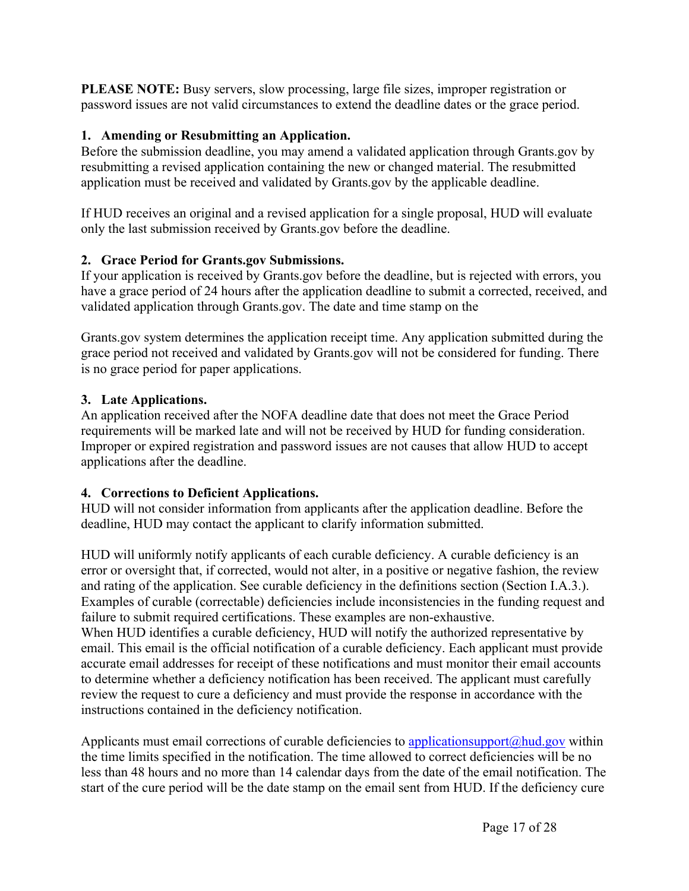**PLEASE NOTE:** Busy servers, slow processing, large file sizes, improper registration or password issues are not valid circumstances to extend the deadline dates or the grace period.

## **1. Amending or Resubmitting an Application.**

Before the submission deadline, you may amend a validated application through Grants.gov by resubmitting a revised application containing the new or changed material. The resubmitted application must be received and validated by Grants.gov by the applicable deadline.

If HUD receives an original and a revised application for a single proposal, HUD will evaluate only the last submission received by Grants.gov before the deadline.

## **2. Grace Period for Grants.gov Submissions.**

If your application is received by Grants.gov before the deadline, but is rejected with errors, you have a grace period of 24 hours after the application deadline to submit a corrected, received, and validated application through Grants.gov. The date and time stamp on the

Grants.gov system determines the application receipt time. Any application submitted during the grace period not received and validated by Grants.gov will not be considered for funding. There is no grace period for paper applications.

## **3. Late Applications.**

An application received after the NOFA deadline date that does not meet the Grace Period requirements will be marked late and will not be received by HUD for funding consideration. Improper or expired registration and password issues are not causes that allow HUD to accept applications after the deadline.

## **4. Corrections to Deficient Applications.**

HUD will not consider information from applicants after the application deadline. Before the deadline, HUD may contact the applicant to clarify information submitted.

HUD will uniformly notify applicants of each curable deficiency. A curable deficiency is an error or oversight that, if corrected, would not alter, in a positive or negative fashion, the review and rating of the application. See curable deficiency in the definitions section (Section I.A.3.). Examples of curable (correctable) deficiencies include inconsistencies in the funding request and failure to submit required certifications. These examples are non-exhaustive. When HUD identifies a curable deficiency, HUD will notify the authorized representative by email. This email is the official notification of a curable deficiency. Each applicant must provide accurate email addresses for receipt of these notifications and must monitor their email accounts to determine whether a deficiency notification has been received. The applicant must carefully review the request to cure a deficiency and must provide the response in accordance with the instructions contained in the deficiency notification.

Applicants must email corrections of curable deficiencies to applicationsupport $\omega$ hud.gov within the time limits specified in the notification. The time allowed to correct deficiencies will be no less than 48 hours and no more than 14 calendar days from the date of the email notification. The start of the cure period will be the date stamp on the email sent from HUD. If the deficiency cure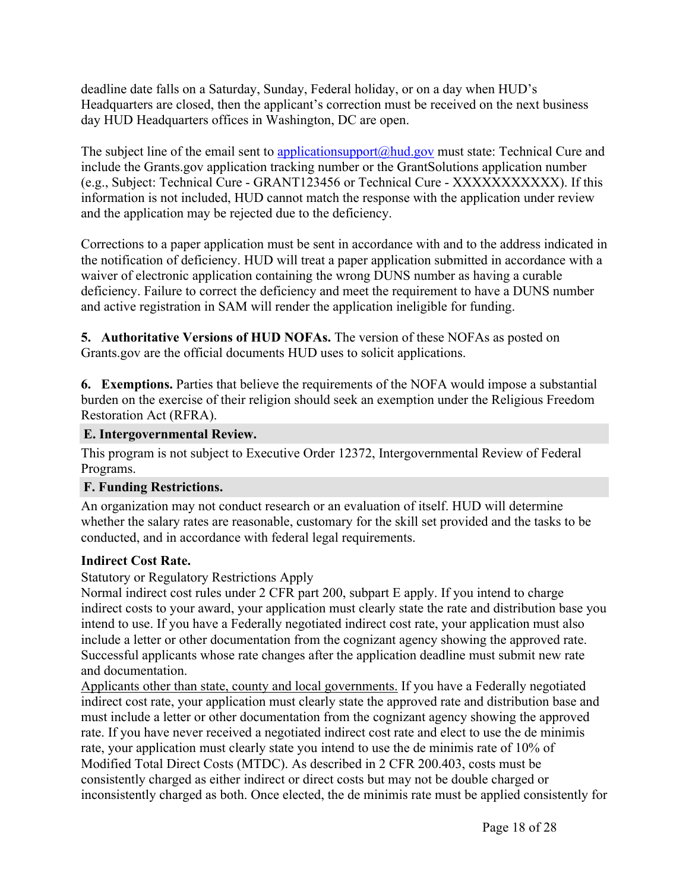deadline date falls on a Saturday, Sunday, Federal holiday, or on a day when HUD's Headquarters are closed, then the applicant's correction must be received on the next business day HUD Headquarters offices in Washington, DC are open.

The subject line of the email sent to [applicationsupport@hud.gov](mailto:applicationsupport@hud.gov) must state: Technical Cure and include the Grants.gov application tracking number or the GrantSolutions application number (e.g., Subject: Technical Cure - GRANT123456 or Technical Cure - XXXXXXXXXXX). If this information is not included, HUD cannot match the response with the application under review and the application may be rejected due to the deficiency.

Corrections to a paper application must be sent in accordance with and to the address indicated in the notification of deficiency. HUD will treat a paper application submitted in accordance with a waiver of electronic application containing the wrong DUNS number as having a curable deficiency. Failure to correct the deficiency and meet the requirement to have a DUNS number and active registration in SAM will render the application ineligible for funding.

**5. Authoritative Versions of HUD NOFAs.** The version of these NOFAs as posted on Grants.gov are the official documents HUD uses to solicit applications.

**6. Exemptions.** Parties that believe the requirements of the NOFA would impose a substantial burden on the exercise of their religion should seek an exemption under the Religious Freedom Restoration Act (RFRA).

#### <span id="page-18-0"></span>**E. Intergovernmental Review.**

This program is not subject to Executive Order 12372, Intergovernmental Review of Federal Programs.

#### <span id="page-18-1"></span>**F. Funding Restrictions.**

An organization may not conduct research or an evaluation of itself. HUD will determine whether the salary rates are reasonable, customary for the skill set provided and the tasks to be conducted, and in accordance with federal legal requirements.

## **Indirect Cost Rate.**

Statutory or Regulatory Restrictions Apply

Normal indirect cost rules under 2 CFR part 200, subpart E apply. If you intend to charge indirect costs to your award, your application must clearly state the rate and distribution base you intend to use. If you have a Federally negotiated indirect cost rate, your application must also include a letter or other documentation from the cognizant agency showing the approved rate. Successful applicants whose rate changes after the application deadline must submit new rate and documentation.

Applicants other than state, county and local governments. If you have a Federally negotiated indirect cost rate, your application must clearly state the approved rate and distribution base and must include a letter or other documentation from the cognizant agency showing the approved rate. If you have never received a negotiated indirect cost rate and elect to use the de minimis rate, your application must clearly state you intend to use the de minimis rate of 10% of Modified Total Direct Costs (MTDC). As described in 2 CFR 200.403, costs must be consistently charged as either indirect or direct costs but may not be double charged or inconsistently charged as both. Once elected, the de minimis rate must be applied consistently for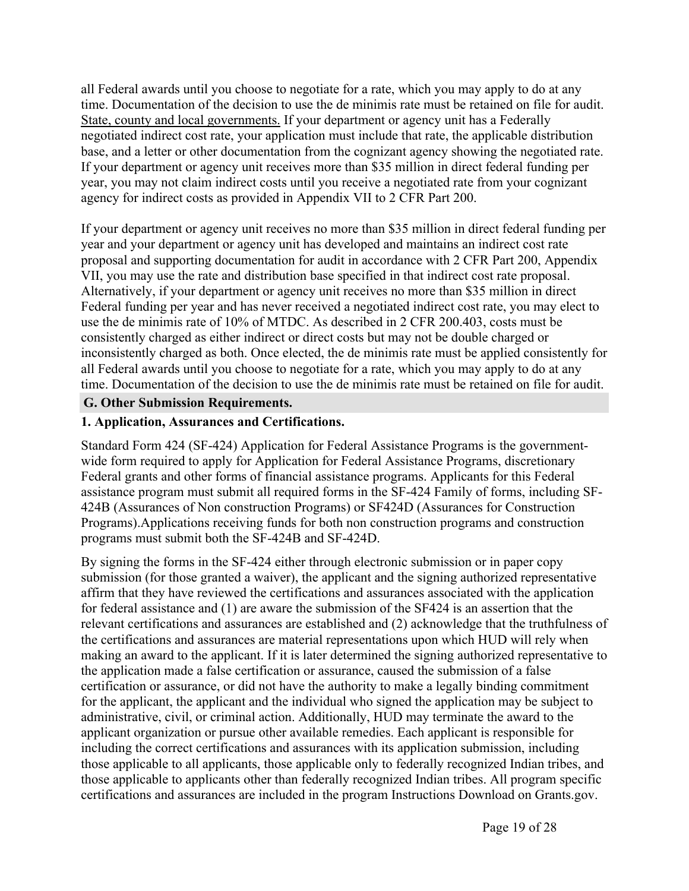all Federal awards until you choose to negotiate for a rate, which you may apply to do at any time. Documentation of the decision to use the de minimis rate must be retained on file for audit. State, county and local governments. If your department or agency unit has a Federally negotiated indirect cost rate, your application must include that rate, the applicable distribution base, and a letter or other documentation from the cognizant agency showing the negotiated rate. If your department or agency unit receives more than \$35 million in direct federal funding per year, you may not claim indirect costs until you receive a negotiated rate from your cognizant agency for indirect costs as provided in Appendix VII to 2 CFR Part 200.

If your department or agency unit receives no more than \$35 million in direct federal funding per year and your department or agency unit has developed and maintains an indirect cost rate proposal and supporting documentation for audit in accordance with 2 CFR Part 200, Appendix VII, you may use the rate and distribution base specified in that indirect cost rate proposal. Alternatively, if your department or agency unit receives no more than \$35 million in direct Federal funding per year and has never received a negotiated indirect cost rate, you may elect to use the de minimis rate of 10% of MTDC. As described in 2 CFR 200.403, costs must be consistently charged as either indirect or direct costs but may not be double charged or inconsistently charged as both. Once elected, the de minimis rate must be applied consistently for all Federal awards until you choose to negotiate for a rate, which you may apply to do at any time. Documentation of the decision to use the de minimis rate must be retained on file for audit.

#### <span id="page-19-0"></span>**G. Other Submission Requirements.**

#### **1. Application, Assurances and Certifications.**

Standard Form 424 (SF-424) Application for Federal Assistance Programs is the governmentwide form required to apply for Application for Federal Assistance Programs, discretionary Federal grants and other forms of financial assistance programs. Applicants for this Federal assistance program must submit all required forms in the SF-424 Family of forms, including SF-424B (Assurances of Non construction Programs) or SF424D (Assurances for Construction Programs).Applications receiving funds for both non construction programs and construction programs must submit both the SF-424B and SF-424D.

By signing the forms in the SF-424 either through electronic submission or in paper copy submission (for those granted a waiver), the applicant and the signing authorized representative affirm that they have reviewed the certifications and assurances associated with the application for federal assistance and (1) are aware the submission of the SF424 is an assertion that the relevant certifications and assurances are established and (2) acknowledge that the truthfulness of the certifications and assurances are material representations upon which HUD will rely when making an award to the applicant. If it is later determined the signing authorized representative to the application made a false certification or assurance, caused the submission of a false certification or assurance, or did not have the authority to make a legally binding commitment for the applicant, the applicant and the individual who signed the application may be subject to administrative, civil, or criminal action. Additionally, HUD may terminate the award to the applicant organization or pursue other available remedies. Each applicant is responsible for including the correct certifications and assurances with its application submission, including those applicable to all applicants, those applicable only to federally recognized Indian tribes, and those applicable to applicants other than federally recognized Indian tribes. All program specific certifications and assurances are included in the program Instructions Download on Grants.gov.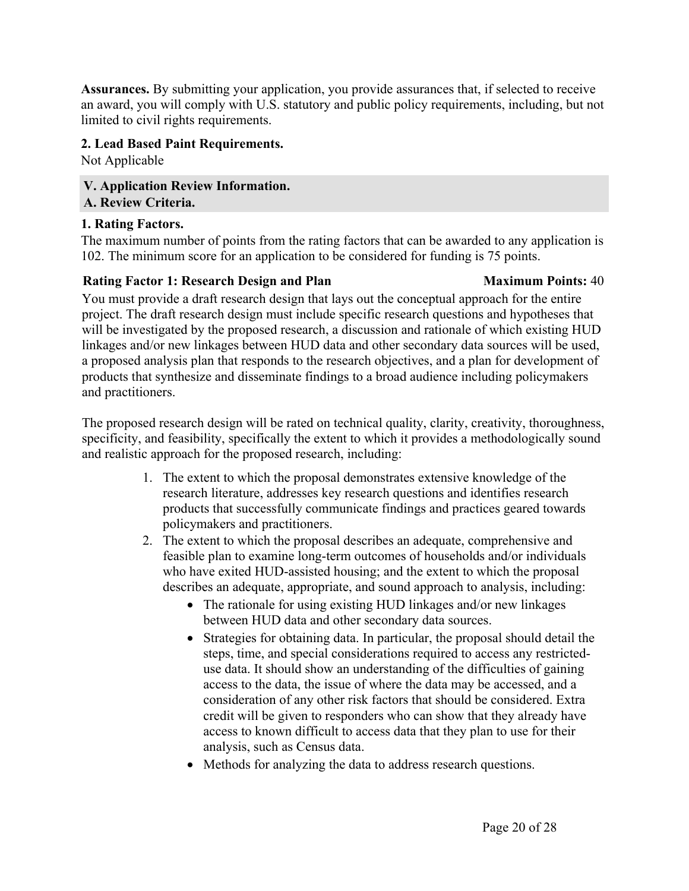**Assurances.** By submitting your application, you provide assurances that, if selected to receive an award, you will comply with U.S. statutory and public policy requirements, including, but not limited to civil rights requirements.

## **2. Lead Based Paint Requirements.**

Not Applicable

<span id="page-20-1"></span><span id="page-20-0"></span>**V. Application Review Information. A. Review Criteria.**

#### **1. Rating Factors.**

The maximum number of points from the rating factors that can be awarded to any application is 102. The minimum score for an application to be considered for funding is 75 points.

## **Rating Factor 1: Research Design and Plan Maximum Points:** 40

You must provide a draft research design that lays out the conceptual approach for the entire project. The draft research design must include specific research questions and hypotheses that will be investigated by the proposed research, a discussion and rationale of which existing HUD linkages and/or new linkages between HUD data and other secondary data sources will be used, a proposed analysis plan that responds to the research objectives, and a plan for development of products that synthesize and disseminate findings to a broad audience including policymakers and practitioners.

The proposed research design will be rated on technical quality, clarity, creativity, thoroughness, specificity, and feasibility, specifically the extent to which it provides a methodologically sound and realistic approach for the proposed research, including:

- 1. The extent to which the proposal demonstrates extensive knowledge of the research literature, addresses key research questions and identifies research products that successfully communicate findings and practices geared towards policymakers and practitioners.
- 2. The extent to which the proposal describes an adequate, comprehensive and feasible plan to examine long-term outcomes of households and/or individuals who have exited HUD-assisted housing; and the extent to which the proposal describes an adequate, appropriate, and sound approach to analysis, including:
	- The rationale for using existing HUD linkages and/or new linkages between HUD data and other secondary data sources.
	- Strategies for obtaining data. In particular, the proposal should detail the steps, time, and special considerations required to access any restricteduse data. It should show an understanding of the difficulties of gaining access to the data, the issue of where the data may be accessed, and a consideration of any other risk factors that should be considered. Extra credit will be given to responders who can show that they already have access to known difficult to access data that they plan to use for their analysis, such as Census data.
	- Methods for analyzing the data to address research questions.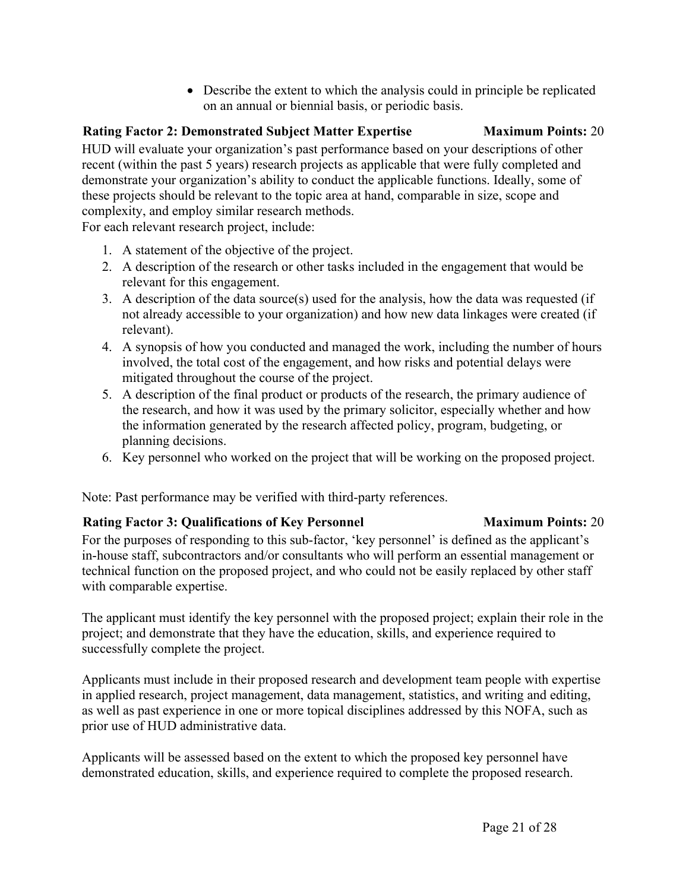Describe the extent to which the analysis could in principle be replicated on an annual or biennial basis, or periodic basis.

## **Rating Factor 2: Demonstrated Subject Matter Expertise Maximum Points:** 20

HUD will evaluate your organization's past performance based on your descriptions of other recent (within the past 5 years) research projects as applicable that were fully completed and demonstrate your organization's ability to conduct the applicable functions. Ideally, some of these projects should be relevant to the topic area at hand, comparable in size, scope and complexity, and employ similar research methods.

For each relevant research project, include:

- 1. A statement of the objective of the project.
- 2. A description of the research or other tasks included in the engagement that would be relevant for this engagement.
- 3. A description of the data source(s) used for the analysis, how the data was requested (if not already accessible to your organization) and how new data linkages were created (if relevant).
- 4. A synopsis of how you conducted and managed the work, including the number of hours involved, the total cost of the engagement, and how risks and potential delays were mitigated throughout the course of the project.
- 5. A description of the final product or products of the research, the primary audience of the research, and how it was used by the primary solicitor, especially whether and how the information generated by the research affected policy, program, budgeting, or planning decisions.
- 6. Key personnel who worked on the project that will be working on the proposed project.

Note: Past performance may be verified with third-party references.

#### **Rating Factor 3: Qualifications of Key Personnel Maximum Points:** 20

For the purposes of responding to this sub-factor, 'key personnel' is defined as the applicant's in-house staff, subcontractors and/or consultants who will perform an essential management or technical function on the proposed project, and who could not be easily replaced by other staff with comparable expertise.

The applicant must identify the key personnel with the proposed project; explain their role in the project; and demonstrate that they have the education, skills, and experience required to successfully complete the project.

Applicants must include in their proposed research and development team people with expertise in applied research, project management, data management, statistics, and writing and editing, as well as past experience in one or more topical disciplines addressed by this NOFA, such as prior use of HUD administrative data.

Applicants will be assessed based on the extent to which the proposed key personnel have demonstrated education, skills, and experience required to complete the proposed research.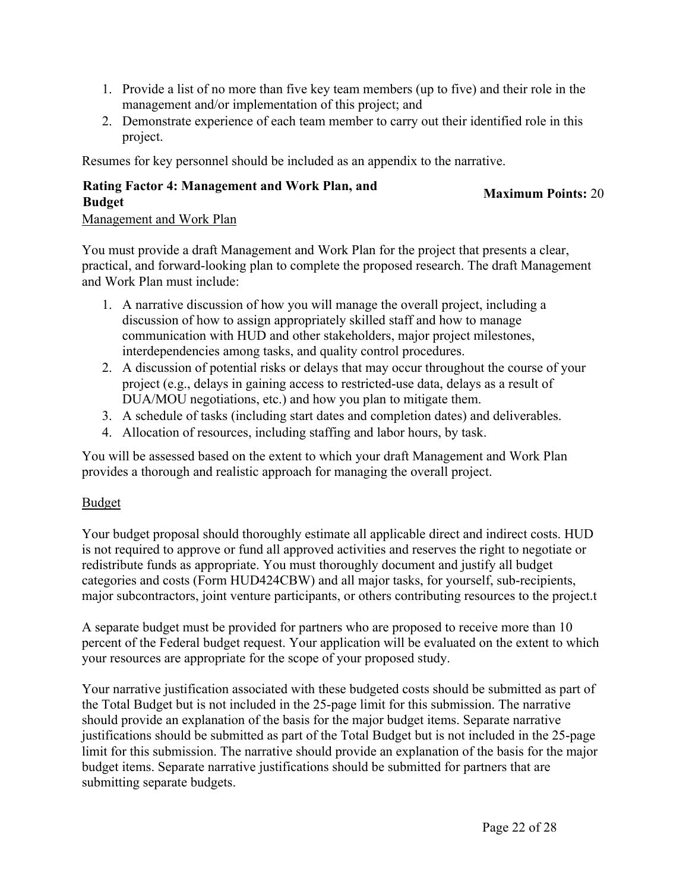- 1. Provide a list of no more than five key team members (up to five) and their role in the management and/or implementation of this project; and
- 2. Demonstrate experience of each team member to carry out their identified role in this project.

Resumes for key personnel should be included as an appendix to the narrative.

## **Rating Factor 4: Management and Work Plan, and Budget Maximum Points:** <sup>20</sup>

#### Management and Work Plan

You must provide a draft Management and Work Plan for the project that presents a clear, practical, and forward-looking plan to complete the proposed research. The draft Management and Work Plan must include:

- 1. A narrative discussion of how you will manage the overall project, including a discussion of how to assign appropriately skilled staff and how to manage communication with HUD and other stakeholders, major project milestones, interdependencies among tasks, and quality control procedures.
- 2. A discussion of potential risks or delays that may occur throughout the course of your project (e.g., delays in gaining access to restricted-use data, delays as a result of DUA/MOU negotiations, etc.) and how you plan to mitigate them.
- 3. A schedule of tasks (including start dates and completion dates) and deliverables.
- 4. Allocation of resources, including staffing and labor hours, by task.

You will be assessed based on the extent to which your draft Management and Work Plan provides a thorough and realistic approach for managing the overall project.

## Budget

Your budget proposal should thoroughly estimate all applicable direct and indirect costs. HUD is not required to approve or fund all approved activities and reserves the right to negotiate or redistribute funds as appropriate. You must thoroughly document and justify all budget categories and costs (Form HUD424CBW) and all major tasks, for yourself, sub-recipients, major subcontractors, joint venture participants, or others contributing resources to the project.t

A separate budget must be provided for partners who are proposed to receive more than 10 percent of the Federal budget request. Your application will be evaluated on the extent to which your resources are appropriate for the scope of your proposed study.

Your narrative justification associated with these budgeted costs should be submitted as part of the Total Budget but is not included in the 25-page limit for this submission. The narrative should provide an explanation of the basis for the major budget items. Separate narrative justifications should be submitted as part of the Total Budget but is not included in the 25-page limit for this submission. The narrative should provide an explanation of the basis for the major budget items. Separate narrative justifications should be submitted for partners that are submitting separate budgets.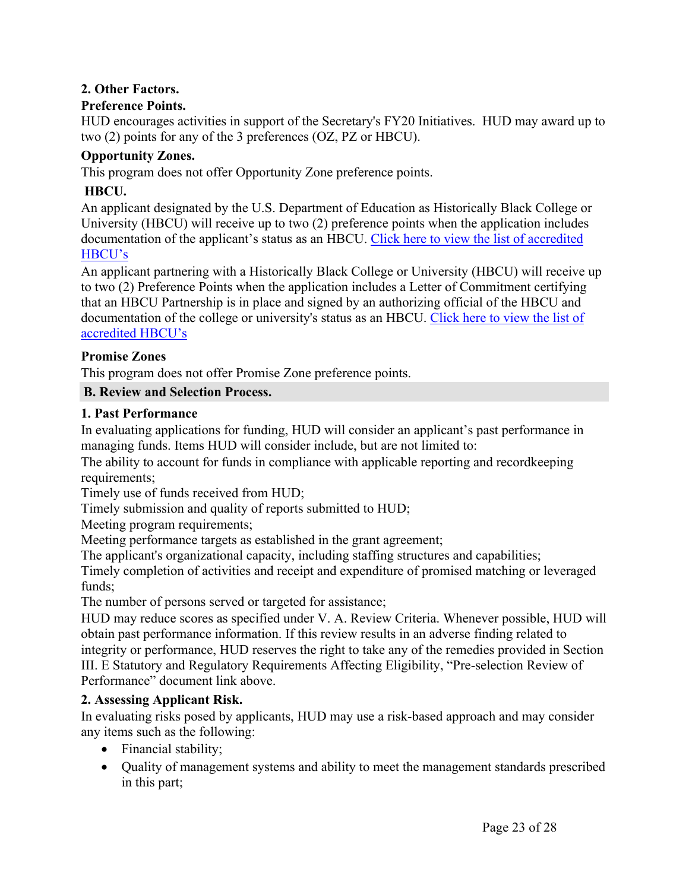## **2. Other Factors.**

#### **Preference Points.**

HUD encourages activities in support of the Secretary's FY20 Initiatives. HUD may award up to two (2) points for any of the 3 preferences (OZ, PZ or HBCU).

#### **Opportunity Zones.**

This program does not offer Opportunity Zone preference points.

## **HBCU.**

An applicant designated by the U.S. Department of Education as Historically Black College or University (HBCU) will receive up to two (2) preference points when the application includes documentation of the applicant's status as an HBCU. Click here to view the list of [accredited](https://sites.ed.gov/whhbcu/one-hundred-and-five-historically-black-colleges-and-universities/) [HBCU's](https://sites.ed.gov/whhbcu/one-hundred-and-five-historically-black-colleges-and-universities/)

An applicant partnering with a Historically Black College or University (HBCU) will receive up to two (2) Preference Points when the application includes a Letter of Commitment certifying that an HBCU Partnership is in place and signed by an authorizing official of the HBCU and documentation of the college or university's status as an HBCU. [Click](https://sites.ed.gov/whhbcu/one-hundred-and-five-historically-black-colleges-and-universities/) here to view the list of [accredited](https://sites.ed.gov/whhbcu/one-hundred-and-five-historically-black-colleges-and-universities/) HBCU's

## **Promise Zones**

This program does not offer Promise Zone preference points.

## <span id="page-23-0"></span>**B. Review and Selection Process.**

#### **1. Past Performance**

In evaluating applications for funding, HUD will consider an applicant's past performance in managing funds. Items HUD will consider include, but are not limited to:

The ability to account for funds in compliance with applicable reporting and recordkeeping requirements;

Timely use of funds received from HUD;

Timely submission and quality of reports submitted to HUD;

Meeting program requirements;

Meeting performance targets as established in the grant agreement;

The applicant's organizational capacity, including staffing structures and capabilities;

Timely completion of activities and receipt and expenditure of promised matching or leveraged funds;

The number of persons served or targeted for assistance;

HUD may reduce scores as specified under V. A. Review Criteria. Whenever possible, HUD will obtain past performance information. If this review results in an adverse finding related to integrity or performance, HUD reserves the right to take any of the remedies provided in Section III. E Statutory and Regulatory Requirements Affecting Eligibility, "Pre-selection Review of Performance" document link above.

## **2. Assessing Applicant Risk.**

In evaluating risks posed by applicants, HUD may use a risk-based approach and may consider any items such as the following:

- Financial stability;
- Quality of management systems and ability to meet the management standards prescribed in this part;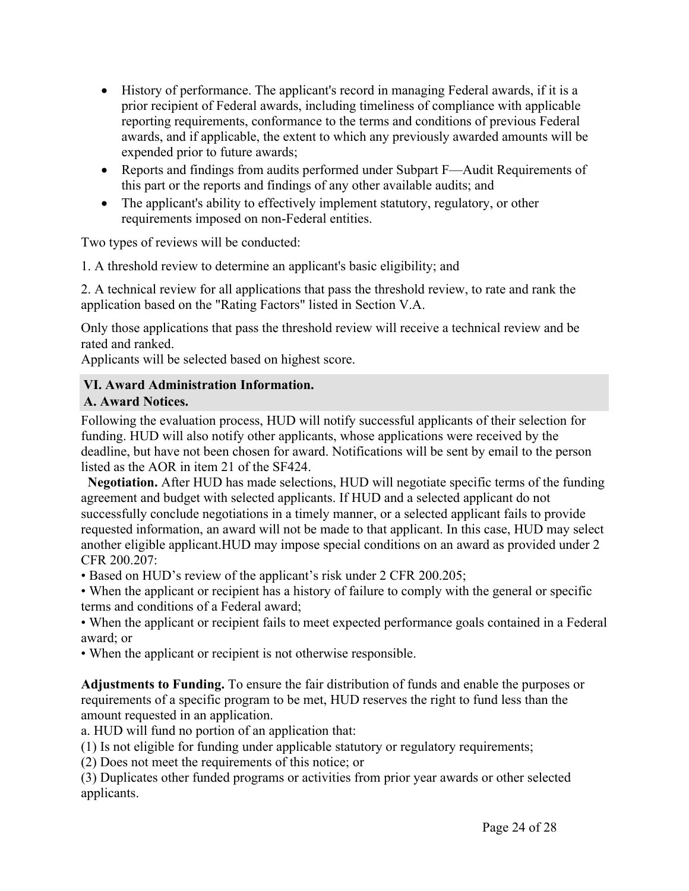- History of performance. The applicant's record in managing Federal awards, if it is a prior recipient of Federal awards, including timeliness of compliance with applicable reporting requirements, conformance to the terms and conditions of previous Federal awards, and if applicable, the extent to which any previously awarded amounts will be expended prior to future awards;
- Reports and findings from audits performed under Subpart F—Audit Requirements of this part or the reports and findings of any other available audits; and
- The applicant's ability to effectively implement statutory, regulatory, or other requirements imposed on non-Federal entities.

Two types of reviews will be conducted:

1. A threshold review to determine an applicant's basic eligibility; and

2. A technical review for all applications that pass the threshold review, to rate and rank the application based on the "Rating Factors" listed in Section V.A.

Only those applications that pass the threshold review will receive a technical review and be rated and ranked.

Applicants will be selected based on highest score.

## <span id="page-24-0"></span>**VI. Award Administration Information.**

## <span id="page-24-1"></span>**A. Award Notices.**

Following the evaluation process, HUD will notify successful applicants of their selection for funding. HUD will also notify other applicants, whose applications were received by the deadline, but have not been chosen for award. Notifications will be sent by email to the person listed as the AOR in item 21 of the SF424.

**Negotiation.** After HUD has made selections, HUD will negotiate specific terms of the funding agreement and budget with selected applicants. If HUD and a selected applicant do not successfully conclude negotiations in a timely manner, or a selected applicant fails to provide requested information, an award will not be made to that applicant. In this case, HUD may select another eligible applicant.HUD may impose special conditions on an award as provided under 2 CFR 200.207:

• Based on HUD's review of the applicant's risk under 2 CFR 200.205;

• When the applicant or recipient has a history of failure to comply with the general or specific terms and conditions of a Federal award;

• When the applicant or recipient fails to meet expected performance goals contained in a Federal award; or

• When the applicant or recipient is not otherwise responsible.

**Adjustments to Funding.** To ensure the fair distribution of funds and enable the purposes or requirements of a specific program to be met, HUD reserves the right to fund less than the amount requested in an application.

a. HUD will fund no portion of an application that:

(1) Is not eligible for funding under applicable statutory or regulatory requirements;

(2) Does not meet the requirements of this notice; or

(3) Duplicates other funded programs or activities from prior year awards or other selected applicants.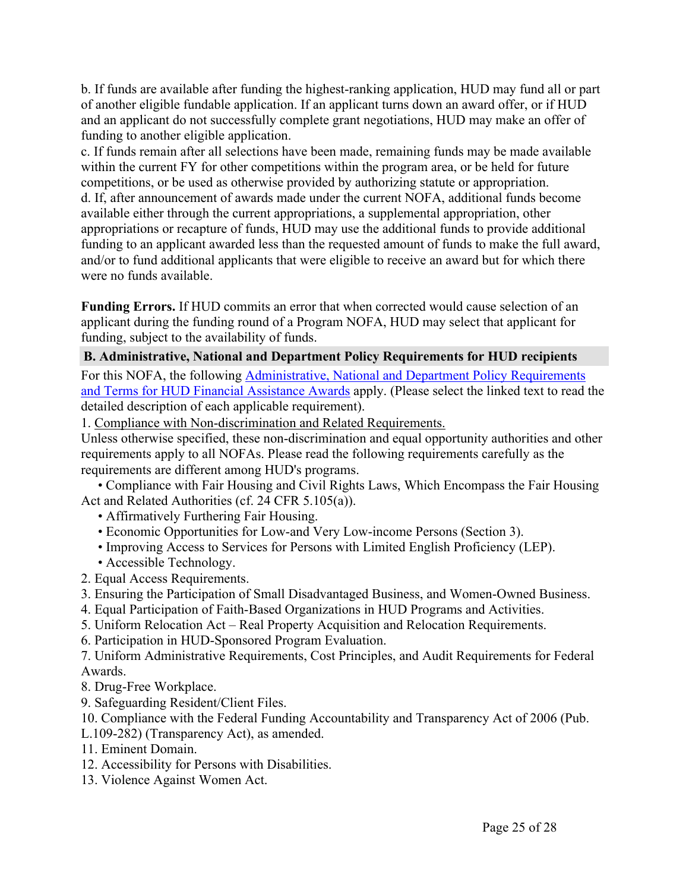b. If funds are available after funding the highest-ranking application, HUD may fund all or part of another eligible fundable application. If an applicant turns down an award offer, or if HUD and an applicant do not successfully complete grant negotiations, HUD may make an offer of funding to another eligible application.

c. If funds remain after all selections have been made, remaining funds may be made available within the current FY for other competitions within the program area, or be held for future competitions, or be used as otherwise provided by authorizing statute or appropriation. d. If, after announcement of awards made under the current NOFA, additional funds become available either through the current appropriations, a supplemental appropriation, other appropriations or recapture of funds, HUD may use the additional funds to provide additional funding to an applicant awarded less than the requested amount of funds to make the full award, and/or to fund additional applicants that were eligible to receive an award but for which there were no funds available.

**Funding Errors.** If HUD commits an error that when corrected would cause selection of an applicant during the funding round of a Program NOFA, HUD may select that applicant for funding, subject to the availability of funds.

#### <span id="page-25-0"></span>**B. Administrative, National and Department Policy Requirements for HUD recipients**

For this NOFA, the following [Administrative,](https://www.hud.gov/sites/dfiles/CFO/images/General%20Administration%20Requirements%20and%20Terms%20for%20HUD%20Assistance%20Awards.docx) National and Department Policy Requirements and Terms for HUD Financial [Assistance](https://www.hud.gov/sites/dfiles/CFO/images/General%20Administration%20Requirements%20and%20Terms%20for%20HUD%20Assistance%20Awards.docx) Awards apply. (Please select the linked text to read the detailed description of each applicable requirement).

1. Compliance with Non-discrimination and Related Requirements.

Unless otherwise specified, these non-discrimination and equal opportunity authorities and other requirements apply to all NOFAs. Please read the following requirements carefully as the requirements are different among HUD's programs.

• Compliance with Fair Housing and Civil Rights Laws, Which Encompass the Fair Housing Act and Related Authorities (cf. 24 CFR 5.105(a)).

- Affirmatively Furthering Fair Housing.
- Economic Opportunities for Low-and Very Low-income Persons (Section 3).
- Improving Access to Services for Persons with Limited English Proficiency (LEP).
- Accessible Technology.
- 2. Equal Access Requirements.
- 3. Ensuring the Participation of Small Disadvantaged Business, and Women-Owned Business.
- 4. Equal Participation of Faith-Based Organizations in HUD Programs and Activities.
- 5. Uniform Relocation Act Real Property Acquisition and Relocation Requirements.
- 6. Participation in HUD-Sponsored Program Evaluation.

7. Uniform Administrative Requirements, Cost Principles, and Audit Requirements for Federal Awards.

- 8. Drug-Free Workplace.
- 9. Safeguarding Resident/Client Files.

10. Compliance with the Federal Funding Accountability and Transparency Act of 2006 (Pub.

- L.109-282) (Transparency Act), as amended.
- 11. Eminent Domain.
- 12. Accessibility for Persons with Disabilities.
- 13. Violence Against Women Act.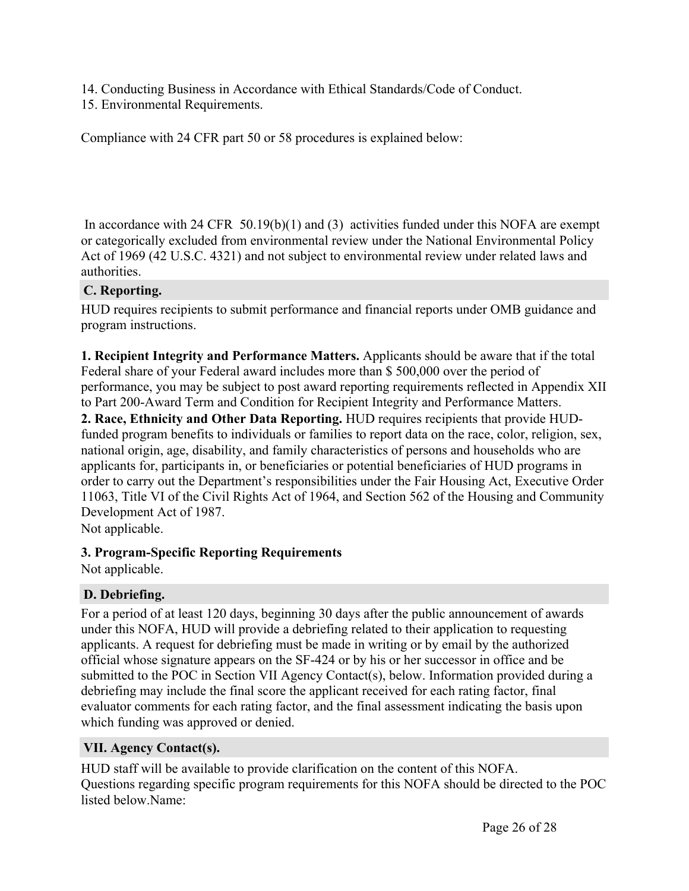- 14. Conducting Business in Accordance with Ethical Standards/Code of Conduct.
- 15. Environmental Requirements.

Compliance with 24 CFR part 50 or 58 procedures is explained below:

In accordance with 24 CFR 50.19(b)(1) and (3) activities funded under this NOFA are exempt or categorically excluded from environmental review under the National Environmental Policy Act of 1969 (42 U.S.C. 4321) and not subject to environmental review under related laws and authorities.

#### <span id="page-26-0"></span>**C. Reporting.**

HUD requires recipients to submit performance and financial reports under OMB guidance and program instructions.

**1. Recipient Integrity and Performance Matters.** Applicants should be aware that if the total Federal share of your Federal award includes more than \$ 500,000 over the period of performance, you may be subject to post award reporting requirements reflected in Appendix XII to Part 200-Award Term and Condition for Recipient Integrity and Performance Matters.

**2. Race, Ethnicity and Other Data Reporting.** HUD requires recipients that provide HUDfunded program benefits to individuals or families to report data on the race, color, religion, sex, national origin, age, disability, and family characteristics of persons and households who are applicants for, participants in, or beneficiaries or potential beneficiaries of HUD programs in order to carry out the Department's responsibilities under the Fair Housing Act, Executive Order 11063, Title VI of the Civil Rights Act of 1964, and Section 562 of the Housing and Community Development Act of 1987.

Not applicable.

## **3. Program-Specific Reporting Requirements**

Not applicable.

## <span id="page-26-1"></span>**D. Debriefing.**

For a period of at least 120 days, beginning 30 days after the public announcement of awards under this NOFA, HUD will provide a debriefing related to their application to requesting applicants. A request for debriefing must be made in writing or by email by the authorized official whose signature appears on the SF-424 or by his or her successor in office and be submitted to the POC in Section VII Agency Contact(s), below. Information provided during a debriefing may include the final score the applicant received for each rating factor, final evaluator comments for each rating factor, and the final assessment indicating the basis upon which funding was approved or denied.

## <span id="page-26-2"></span>**VII. Agency Contact(s).**

HUD staff will be available to provide clarification on the content of this NOFA. Questions regarding specific program requirements for this NOFA should be directed to the POC listed below.Name: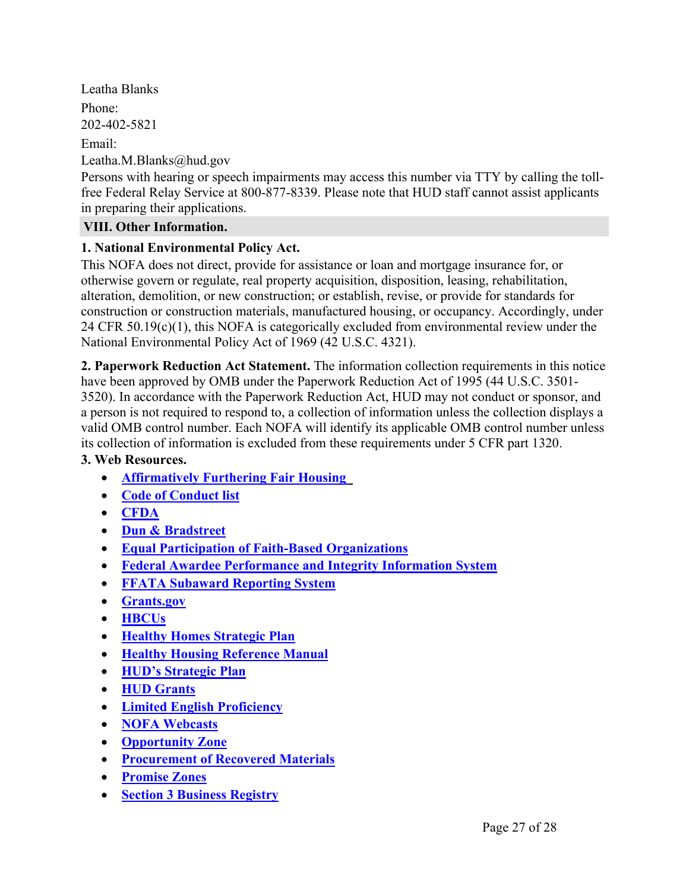Leatha Blanks Phone: 202-402-5821 Email: Leatha.M.Blanks@hud.gov

Persons with hearing or speech impairments may access this number via TTY by calling the tollfree Federal Relay Service at 800-877-8339. Please note that HUD staff cannot assist applicants in preparing their applications.

## <span id="page-27-0"></span>**VIII. Other Information.**

## **1. National Environmental Policy Act.**

This NOFA does not direct, provide for assistance or loan and mortgage insurance for, or otherwise govern or regulate, real property acquisition, disposition, leasing, rehabilitation, alteration, demolition, or new construction; or establish, revise, or provide for standards for construction or construction materials, manufactured housing, or occupancy. Accordingly, under 24 CFR 50.19(c)(1), this NOFA is categorically excluded from environmental review under the National Environmental Policy Act of 1969 (42 U.S.C. 4321).

**2. Paperwork Reduction Act Statement.** The information collection requirements in this notice have been approved by OMB under the Paperwork Reduction Act of 1995 (44 U.S.C. 3501- 3520). In accordance with the Paperwork Reduction Act, HUD may not conduct or sponsor, and a person is not required to respond to, a collection of information unless the collection displays a valid OMB control number. Each NOFA will identify its applicable OMB control number unless its collection of information is excluded from these requirements under 5 CFR part 1320.

## **3. Web Resources.**

- **[Affirmatively](https://www.hudexchange.info/programs/affh/) Furthering Fair Housing**
- **Code of [Conduct](https://www.hud.gov/program_offices/spm/gmomgmt/grantsinfo/conductgrants) list**
- **[CFDA](https://beta.sam.gov/)**
- **Dun & [Bradstreet](http://fedgov.dnb.com/webform)**
- **Equal Participation of Faith-Based [Organizations](https://www.ecfr.gov/cgi-bin/retrieveECFR?gp=1&SID=d67b2c9e097a45629d959d63e5e4f297&ty=HTML&h=L&mc=true&r=SECTION&n=se24.1.5_1109)**
- **Federal Awardee [Performance](https://www.fapiis.gov/fapiis/index.action) and Integrity Information System**
- **FFATA [Subaward](https://www.fsrs.gov/) Reporting System**
- **[Grants.gov](https://grants.gov)**
- **[HBCUs](https://www.hud.gov/programdescription/hbcu)**
- **Healthy Homes [Strategic](https://www.hud.gov/sites/documents/DOC_13701.PDF) Plan**
- **Healthy Housing [Reference](https://www.cdc.gov/nceh/publications/books/housing/housing_ref_manual_2012.pdf) Manual**
- **HUD's [Strategic](https://www.hud.gov/program_offices/spm/strategicplan2014_2018) Plan**
- **HUD [Grants](https://www.hud.gov/program_offices/spm/gmomgmt/grantsinfo)**
- **Limited English [Proficiency](https://www.hud.gov/program_offices/fair_housing_equal_opp/limited_english_proficiency_0)**
- **NOFA [Webcasts](https://portal.hud.gov/hudportal/HUD?src=/press/multimedia)**
- **[Opportunity](https://www.cdfifund.gov/Pages/Opportunity-Zones.aspx) Zone**
- **[Procurement](https://www.ecfr.gov/cgi-bin/text-idx?SID=91f378a1992b84880fbe5823086278fc&mc=true&node=pt2.1.200&rgn=div5#se2.1.200_1322) of Recovered Materials**
- **[Promise](https://www.hud.gov/program_offices/field_policy_mgt/fieldpolicymgtpz) Zones**
- **Section 3 [Business](https://portalapps.hud.gov/Sec3BusReg/BRegistry/What) Registry**